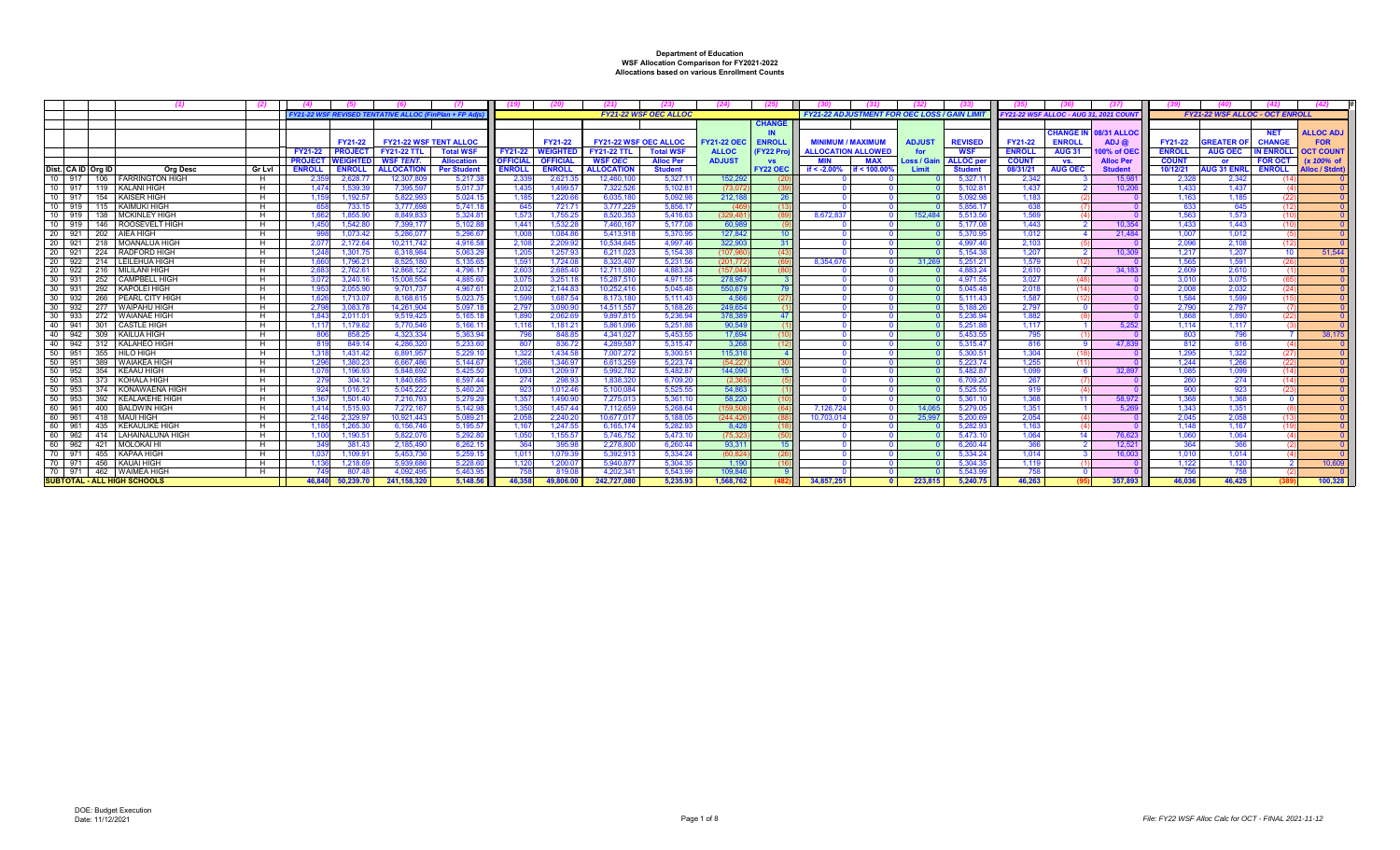|                               | - (1)                                     | -621     |                |                     |                                                            |                     |                           |                     |                        |                              |                   |                  |                                                     |               |                      |                |                                             |                    |                |                                       |                 |                     |
|-------------------------------|-------------------------------------------|----------|----------------|---------------------|------------------------------------------------------------|---------------------|---------------------------|---------------------|------------------------|------------------------------|-------------------|------------------|-----------------------------------------------------|---------------|----------------------|----------------|---------------------------------------------|--------------------|----------------|---------------------------------------|-----------------|---------------------|
|                               |                                           |          |                |                     | <b>Y21-22 WSF REVISED TENTATIVE ALLOC (FinPlan + FP A)</b> |                     |                           |                     |                        | <b>FY21-22 WSF OEC ALLOC</b> |                   |                  | <b>FY21-22 ADJUSTMENT FOR OEC LOSS / GAIN LIMIT</b> |               |                      |                | <b>Y21-22 WSF ALLOC - AUG 31, 2021 COUN</b> |                    |                | <b>FY21-22 WSF ALLOC - OCT ENROLL</b> |                 |                     |
|                               |                                           |          |                |                     |                                                            |                     |                           |                     |                        |                              |                   | <b>CHANGE</b>    |                                                     |               |                      |                |                                             |                    |                |                                       |                 |                     |
|                               |                                           |          |                |                     |                                                            |                     |                           |                     |                        |                              |                   | IN               |                                                     |               |                      |                | <b>CHANGE IN</b>                            | <b>08/31 ALLOC</b> |                |                                       |                 | <b>ALLOC ADJ</b>    |
|                               |                                           |          |                | FY21-22             | <b>FY21-22 WSF TENT ALLOC</b>                              |                     |                           | FY21-22             |                        | <b>FY21-22 WSF OEC ALLOC</b> | <b>Y21-22 OEC</b> | <b>ENROLI</b>    | MINIMI IM / MAXIMI IM                               | <b>ADJUST</b> | <b>REVISED</b>       | <b>FY21-22</b> | <b>ENROLL</b>                               | ADJ@               | FY21-22        | <b>GREATER O</b>                      | <b>CHANGE</b>   | <b>FOR</b>          |
|                               |                                           |          | FY21-22        | <b>PROJEC</b>       | <b>FY21-22 TTL</b>                                         | <b>Total WSF</b>    | FY21-22                   | <b>WEIGHTED</b>     | <b>FY21-22 TTL</b>     | <b>Total WSF</b>             | <b>ALLOC</b>      | <b>FY22 Proi</b> | <b>ALLOCATION ALLOWED</b>                           |               | <b>WSF</b>           | <b>ENROLI</b>  | <b>AUG 31</b>                               | 00% of OE          | <b>ENROLL</b>  | <b>AUG OEC</b>                        | <b>N ENROLL</b> | <b>DCT COUN</b>     |
|                               |                                           |          | <b>PROJECT</b> | <b>NEIGHTI</b>      | <b>WSF TENT.</b>                                           | <b>Allocation</b>   | <b>OFFICIAL</b>           | <b>OFFICIAL</b>     | <b>WSF OEC</b>         | <b>Alloc Per</b>             | <b>ADJUST</b>     | <b>VS</b>        | MIN<br><b>MAX</b>                                   | Loss / Gain   | <b>ALLOC</b> pe      | <b>COUNT</b>   | VS.                                         | <b>Alloc Per</b>   | <b>COUNT</b>   | or                                    | <b>FOR OCT</b>  | (x 100% of          |
| Dist. CA ID Org ID            | <b>Org Desc</b>                           | Gr Lvl   | <b>ENROLL</b>  | <b>ENROLI</b>       | <b>ALLOCATION</b>                                          | <b>Per Studen</b>   | ENROLI                    | <b>ENROLL</b>       | <b>ALLOCATION</b>      | <b>Student</b>               |                   | <b>FY22 OEC</b>  | if $< -2.00%$<br>if < $100.00$                      | Limi          | <b>Student</b>       | 08/31/21       | <b>AUG OEC</b>                              | <b>Student</b>     | 10/12/21       | <b>UG 31 ENR</b>                      | <b>ENROLL</b>   | <b>Alloc / Stdn</b> |
| 10 917                        | 106   FARRINGTON HIGH                     | H        | 2.35           | 2.628.7             | 12,307.80                                                  | 5.217.3             | 2.33                      | 2.621.3             | 12.460.10              | 5.327.7                      | 152.292           |                  |                                                     |               | 5.327.1              | 2.342          |                                             | 15.98              | 2.328          | 2.342                                 |                 |                     |
| 10<br>917                     | 119   KALANI HIGH                         | H        | 1.47           | 1.539.3             | 7.395.59                                                   | 5.017.37            | 1.435                     | 1.499.5             | 7.322.52               | 5.102.8                      | (73.07            |                  |                                                     |               | 5.102.81             | 1.437          |                                             | 10.20              | 1.433          | 1.437                                 |                 |                     |
| 10 917                        | 154 KAISER HIGH                           | н.       | 1,15           | 1,192.5             | 5,822,993                                                  | 5.024.15            | 1.185                     | 1,220.6             | 6,035,18               | 5,092.9                      | 212,188           | -26-             |                                                     |               | 5,092.98             | 1,183          |                                             |                    | 1.163          | 1.185                                 | (22)            |                     |
| 10 919                        | 115   KAIMUKI HIGH                        | H        |                | 733.1               | 3.777.69                                                   | 5.741.18            | 645                       | 721.71              | 3.777.229              | 5.856.17                     | (46)              |                  |                                                     |               | 5.856.17             | 638            |                                             |                    | 633            | 645                                   | (12)            |                     |
| 10 919                        | 138   MCKINLEY HIGH                       | H        | 1.66           | 1.855.90            | 8.849.833                                                  | 5.324.8             | 1.57 <sup>2</sup>         | 1.755.25            | 8.520.35               | 5.416.6                      | (329.48)          |                  | 8.672.837                                           | 152.484       | 5.513.56             | 1.569          |                                             |                    | 1.563          | 1.573                                 | - (10           |                     |
| 10 919                        | 146   ROOSEVELT HIGH                      | H        | 1,45           | 1,542.8             | 7.399.17                                                   | 5.102.8             | 1,44'                     | 1.532.28            | 7.460.16               | 5.177.0                      | 60.98             |                  |                                                     |               | 5,177.08             | 1.443          |                                             | 10.354             | 1.433          | 1.443                                 | - (10           |                     |
| 20 921                        | 202   AIEA HIGH                           | н.       |                | 1,073.42            | 5.286.07                                                   | 5,296.67            | 1.00                      | 1.084.8             | 5.413.91               | 5,370.9                      | 127,84            |                  |                                                     |               | 5,370.95             | 1.012          |                                             | 21.48              | 1.007          | 1.012                                 |                 |                     |
| 20 921                        | 218   MOANALUA HIGH                       | H        | 2.07           | 2.172.64            | 10.211.742                                                 | 4.916.58            | 2.108                     | 2.209.92            | 10.534.645             | 4.997.4                      | 322.90            |                  |                                                     |               | 4.997.46             | 2.103          |                                             |                    | 2.096          | 2.108                                 | (12)            |                     |
| 20 921                        | 224 RADFORD HIGH                          | H        | 1.24           | 1.301.7             | 6.318.984                                                  | 5.063.29            | 1.205                     | 1.257.93            | 6.211.02               | 5.154.3                      | (107.96)          |                  |                                                     |               | 5.154.38             | 1.207          |                                             | 10,309             | 1.217          | 1.207                                 | - 10            | 51.544              |
| 20                            | 20 922 214 LEILEHUA HIGH                  | H        | 1.66           | 1.796.2<br>2.762.6  | 8,525.18<br>12.868.122                                     | 5.135.6<br>4.796.17 | 1.59 <sup>°</sup><br>2.60 | 1.724.0<br>2.685.4  | 8.323.407<br>12.711.08 | 5.231.5<br>4.883.2           | (201.77)          |                  | 8.354.676                                           | 31.269        | 5.251.21<br>4.883.24 | 1.579          |                                             | 34.18              | 1.565<br>2.609 | 1.591<br>2.610                        | (26             |                     |
| 922<br>30 <sup>2</sup><br>931 | 216   MILILANI HIGH<br>252 CAMPBELL HIGH  | н.<br>н. | 2.68<br>3.07   | 3.240.1             | 15.008.554                                                 | 4.885.60            | 3.07                      | 3.251.1             | 15.287.51              | 4.971.5                      | (157.04<br>278.95 |                  |                                                     |               | 4.971.55             | 2.610<br>3.027 |                                             |                    | 3.010          | 3.075                                 | - 65            |                     |
| 30 931                        |                                           |          |                |                     |                                                            |                     |                           |                     |                        |                              |                   | 79               |                                                     |               |                      |                |                                             |                    |                |                                       |                 |                     |
| $30 \mid 932$                 | 292   KAPOLEI HIGH<br>266 PEARL CITY HIGH | н.<br>H  | 1.95<br>1.62   | 2.055.90<br>1.713.0 | 9.701.737<br>8.168.615                                     | 4.967.6<br>5.023.7  | 2.032<br>1.59             | 2.144.8<br>1.687.54 | 10.252.41<br>8.173.18  | 5.045.4<br>5.111.43          | 550.679<br>4.566  |                  |                                                     |               | 5.045.48<br>5.111.43 | 2.018<br>1.587 |                                             |                    | 2.008<br>1.584 | 2.032<br>1.599                        | (24)<br>(15)    |                     |
| 30 932                        | 277 WAIPAHU HIGH                          |          | 2.79           | 3.083.7             | 14.261.904                                                 | 5.097.1             | 2.79                      | 3.090.9             | 14.511.55              | 5.188.2                      | 249.654           |                  |                                                     |               | 5.188.26             | 2.797          |                                             |                    | 2.790          | 2.797                                 |                 |                     |
| 30 933                        | 272 I WAIANAE HIGH                        | H        | 1.84           | 2.011.0             | 9.519.42                                                   | 5.165.1             | 1.890                     | 2.062.6             | 9.897.81               | 5.236.94                     | 378.38            | 47               |                                                     |               | 5.236.94             | 1.882          |                                             |                    | 1.868          | 1.890                                 | (22)            |                     |
| $40$ 941                      | 301 CASTLE HIGH                           |          | 1.11           | 1.179.6             | 5.770.54                                                   | 5.166.1             | 1.11                      | 1.181.2             | 5.861.09               | 5.251.8                      | 90.54             |                  |                                                     |               | 5.251.88             | 1.117          |                                             | 5.252              | 1.114          | 1.117                                 |                 |                     |
| 40<br>942                     | 309 KAILUA HIGH                           |          |                | 858.2               | 4.323.334                                                  | 5.363.94            |                           | 848.8               | 4.341.02               | 5.453.5                      | 17.69             |                  |                                                     |               | 5.453.55             | 795            |                                             |                    | 803            | 796                                   |                 | 38.175              |
| 40 942                        | 312 KALAHEO HIGH                          |          |                | 849.1               | 4.286.320                                                  | 5.233.60            | -807                      | 836.72              | 4.289.587              | 5.315.47                     | 3.268             |                  |                                                     |               | 5.315.47             | 816            |                                             | 47.83              | 812            | 816                                   |                 |                     |
| 50 951                        | 355 HILO HIGH                             | H        | 1.31           | 1.431.42            | 6.891.957                                                  | 5.229.1             | 1.322                     | 1.434.5             | 7.007.272              | 5,300.5                      | 115,31            |                  |                                                     |               | 5.300.51             | 1.304          |                                             |                    | 1.295          | 1.322                                 | (27)            |                     |
| 50<br>951                     | 389 WAIAKEA HIGH                          |          | 1.29           | 1.380.2             | 6.667.48                                                   | 5.144.6             | 1.266                     | 1.346.9             | 6.613.25               | 5.223.7                      | (54.22)           |                  |                                                     |               | 5.223.74             | 1.255          |                                             |                    | 1.244          | 1.266                                 | (22)            |                     |
| 50 <sup>1</sup><br>952        | 354 KEAAU HIGH                            | н.       | 1.07           | 1.196.9             | 5.848.69                                                   | 5.425.50            | 1.09                      | 1.209.9             | 5.992.782              | 5.482.87                     | 144.09            |                  |                                                     |               | 5.482.87             | 1.099          |                                             | 32.89              | 1.085          | 1.099                                 | (14)            |                     |
| 50 953                        | 373 KOHALA HIGH                           |          | -27            | 304.12              | 1.840.68                                                   | 6,597.44            | -274                      | 298.93              | 1.838.32               | 6.709.20                     | (2.36)            |                  |                                                     |               | 6.709.20             | 267            |                                             |                    | -260           | - 274                                 | (14)            |                     |
| 50<br>953                     | 374 KONAWAENA HIGH                        | H        |                | 1.016.2             | 5.045.22                                                   | 5.460.20            | -923                      | 1.012.4             | 5.100.08               | 5.525.5!                     | 54.86             |                  |                                                     |               | 5.525.55             | 919            |                                             |                    | 900            | -923                                  | - (23           |                     |
| 50<br>953                     | 392 KEALAKEHE HIGH                        |          | 1.36           | 1.501.40            | 7.216.793                                                  | 5.279.29            | 1.35                      | 1.490.9             | 7.275.01               | 5.361.                       | 58,220            |                  |                                                     |               | 5.361.1              | 1.368          |                                             | 58.97              | 1.368          | 1.368                                 |                 |                     |
| 60 961                        | 400 BALDWIN HIGH                          | н.       | 1.41           | 1.515.9             | 7.272.167                                                  | 5.142.98            | 1.350                     | 1.457.44            | 7.112.65               | 5.268.6                      | (159.50)          |                  | 7.126.724                                           | 14.065        | 5.279.05             | 1.351          |                                             | 5.269              | 1.343          | 1.351                                 |                 |                     |
| 60 961                        | 418   MAUI HIGH                           |          | 2.14           | 2.329.9             | 10.921.443                                                 | 5.089.2             | 2.05                      | 2.240.2             | 10.677.01              | 5.188.0                      | (244.42)          |                  | 10.703.0                                            | 25.99         | 5.200.69             | 2.054          |                                             |                    | 2.045          | 2.05                                  | (13)            |                     |
| 60 961                        | 435   KEKAULIKE HIGH                      |          | 1.18           | 1.265.3             | 6.156.746                                                  | 5.195.57            | 1.16                      | 1,247.5             | 6.165.174              | 5.282.9                      | 8.428             |                  |                                                     |               | 5.282.93             | 1.163          |                                             |                    | 1.148          | 1.167                                 | - (19           |                     |
| 60 962                        | 414 LAHAINALUNA HIGH                      | н        | 1.10           | 1,190.5             | 5.822.07                                                   | 5.292.80            | 1.05                      | 1.155.5             | 5.746.75               | 5.473.1                      | (75.32)           |                  |                                                     |               | 5.473.10             | 1.064          |                                             | 76,623             | 1.060          | 1.064                                 |                 |                     |
| 60 962                        | 421   MOLOKAI HI                          | H        |                | 381.43              | 2.185.490                                                  | 6.262.15            | 364                       | 395.9               | 2.278.800              | 6.260.44                     | 93.31             |                  |                                                     |               | 6.260.44             | 366            |                                             | 12.521             | 364            | 366                                   |                 |                     |
| 70 971                        | 455   KAPAA HIGH                          |          | 1.03           | 1.109.9             | 5.453.736                                                  | 5.259.1             | 1.01                      | 1.079.3             | 5.392.91               | 5.334.24                     | (60.82)           |                  |                                                     |               | 5.334.24             | 1.014          |                                             | 16,003             | 1.010          | 1.014                                 |                 |                     |
| 70 971                        | 456 KAUAI HIGH                            | н        | 1.13           | 1.218.6             | 5.939.68                                                   | 5.228.6             | 1.120                     | 1.200.0             | 5.940.87               | 5.304.3                      | 1.190             |                  |                                                     |               | 5.304.3              | 1.119          |                                             |                    | 1.122          | 1.120                                 |                 | 10.609              |
|                               | 70 971 462 WAIMEA HIGH                    |          |                | 807.4               | 4.092.495                                                  | 5.463.95            |                           | 819.0               | 4.202.34               | 5.543.9                      | 109.84            |                  |                                                     |               | 5.543.99             | 758            |                                             |                    | 756            | 758                                   |                 |                     |
|                               | <b>SUBTOTAL - ALL HIGH SCHOOLS</b>        |          | 46.840         | 50.239.70           | 241.158.320                                                | 5.148.56            | 46.358                    | 49.806.00           | 242.727.080            | 5.235.93                     | 1.568.762         |                  | 34.857.251                                          | 223.815       | 5.240.75             | 46.263         |                                             | 357.893            | 46.036         | 46.425                                |                 | 100.328             |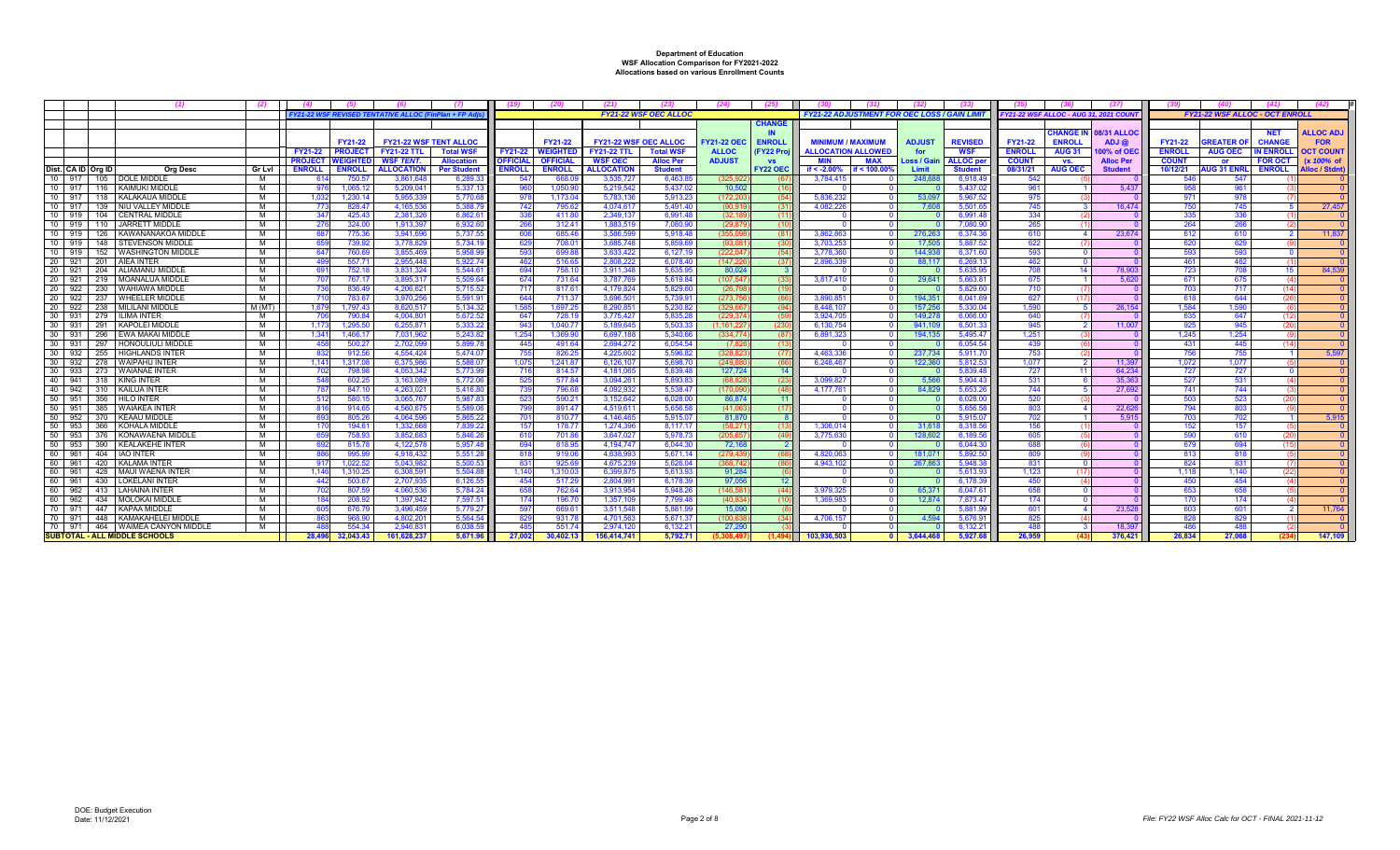|    |                             |                                                 | (2)    |                |                           |                                                     |                    |                 |                                   |                                                    |                              | (24)                               |                             |                                                     |              |                      |                              |                                       |                                |                             |                          |                                       |                             |                                |
|----|-----------------------------|-------------------------------------------------|--------|----------------|---------------------------|-----------------------------------------------------|--------------------|-----------------|-----------------------------------|----------------------------------------------------|------------------------------|------------------------------------|-----------------------------|-----------------------------------------------------|--------------|----------------------|------------------------------|---------------------------------------|--------------------------------|-----------------------------|--------------------------|---------------------------------------|-----------------------------|--------------------------------|
|    |                             |                                                 |        |                |                           | FY21-22 WSF REVISED TENTATIVE ALLOC (FinPlan + FP A |                    |                 |                                   |                                                    | <b>FY21-22 WSF OEC ALLOC</b> |                                    |                             | <b>FY21-22 ADJUSTMENT FOR OEC LOSS / GAIN LIMIT</b> |              |                      |                              | FY21-22 WSF ALLOC - AUG 31, 2021 COUN |                                |                             |                          | <b>FY21-22 WSF ALLOC - OCT ENROLI</b> |                             |                                |
|    |                             |                                                 |        |                |                           |                                                     |                    |                 |                                   |                                                    |                              |                                    | <b>CHANGE</b>               |                                                     |              |                      |                              |                                       |                                |                             |                          |                                       |                             |                                |
|    |                             |                                                 |        |                |                           |                                                     |                    |                 |                                   |                                                    |                              |                                    | IN                          | <b>MINIMUM / MAXIMUM</b>                            |              |                      |                              |                                       |                                | <b>HANGE IN 08/31 ALLOC</b> |                          |                                       | <b>NET</b><br><b>CHANGE</b> | <b>ALLOC ADJ</b><br><b>FOR</b> |
|    |                             |                                                 |        | <b>FY21-22</b> | FY21-22<br><b>PROJECT</b> | <b>FY21-22 WSF TENT ALLOC</b><br>$FY21-22$ TTL      | <b>Total WSI</b>   | FY21-22         | <b>FY21-22</b><br><b>WEIGHTEI</b> | <b>FY21-22 WSF OEC ALLOC</b><br><b>FY21-22 TTL</b> | <b>Total WSF</b>             | <b>FY21-22 OEC</b><br><b>ALLOC</b> | <b>ENROLI</b><br>(FY22 Proj | <b>ALLOCATION ALLOWED</b>                           |              | <b>ADJUST</b><br>for | <b>REVISED</b><br><b>WSF</b> | <b>FY21-22</b><br><b>ENROLL</b>       | <b>ENROLI</b><br><b>AUG 31</b> | $ADJ$ $@$<br>00% of OE      | FY21-22<br><b>ENROLL</b> | <b>REATER O</b><br><b>AUG OEC</b>     | <b>IN ENROLL</b>            | <b>OCT COUNT</b>               |
|    |                             |                                                 |        | <b>PROJECT</b> | <b>NEIGHT</b>             | WSF TENT.                                           | <b>Allocation</b>  | <b>OFFICIA</b>  | <b>OFFICIAL</b>                   | <b>WSF OEC</b>                                     | <b>Alloc Per</b>             | <b>ADJUST</b>                      | <b>VS</b>                   | MIN                                                 | <b>MAX</b>   | <b>Loss / Gair</b>   | <b>ALLOC</b> pe              | <b>COUNT</b>                          | VS.                            | <b>Alloc Per</b>            | <b>COUNT</b>             | <b>or</b>                             | <b>FOR OCT</b>              | $(x 100\% \text{ of }$         |
|    | Dist. CA ID Ora ID          | Ora Desc                                        | Gr Lvl | <b>ENROLL</b>  | <b>ENROLL</b>             | <b>ALLOCATION</b>                                   | <b>Per Student</b> | <b>ENROLL</b>   | <b>ENROLL</b>                     | <b>ALLOCATION</b>                                  | <b>Student</b>               |                                    | <b>FY22 OEC</b>             | if < $-2.00\%$                                      | if < 100.00% | Limit                | <b>Student</b>               | 08/31/21                              | <b>AUG OEC</b>                 | <b>Student</b>              | 10/12/21                 | <b>UG 31 ENRL</b>                     | <b>ENROLL</b>               | Alloc / Stdnt                  |
|    | 10 917                      | 105   DOLE MIDDLE                               | м      |                | 750.                      | 3.861.648                                           | 6.289.             | -547            | 668.0                             | 3.535.727                                          | 6.463.8                      | (325.92)                           |                             | 3,784,41                                            |              | 248.68               | 6.918.4                      | 542                                   |                                |                             | 546                      | 547                                   |                             |                                |
|    | $\frac{1}{10}$   917        | 116   KAIMUKI MIDDLE                            | м      |                | 1.065.1                   | 5.209.04                                            | 5.337.             |                 | 1.050.9                           | 5.219.542                                          | $5.437$ .                    | 10.50                              |                             |                                                     |              |                      | 5.437.                       | 961                                   |                                | 5.437                       | 958                      | 961                                   |                             |                                |
|    | 10 917<br>118               | KALAKAUA MIDDLE                                 | м      | -1.03          | 1,230.14                  | 5.955.33                                            | 5,770.6            |                 | 1,173.0                           | 5,783,136                                          | 5,913.2                      | (172, 20)                          |                             | 5.836.23                                            |              | 53.09                | 5,967.5                      | 975                                   |                                |                             | 971                      | 978                                   |                             |                                |
|    | 10 917                      | 139 INIU VALLEY MIDDLE                          | м      | -77            | 828.47                    | 4.165.536                                           | 5.388.7            | -74:            | 795.6                             | 4.074.617                                          | 5.491.4                      | (90.91)                            | (31)                        | 4.082.226                                           |              | 7.60                 | 5.501.6                      | 745                                   |                                | 16,474                      | 750                      | 745                                   |                             | 27,457                         |
|    | 10 919                      | 104 CENTRAL MIDDLE                              | M      | 347            | 425.43                    | 2.381.326                                           | 6.862.6            | 336             | 411.8                             | 2.349.13                                           | 6.991.4                      | (32.18)                            | (11)                        |                                                     |              |                      | 6.991.4                      | 334                                   |                                |                             | 335                      | 336                                   |                             |                                |
|    | 10 919                      | 110 JARRETT MIDDLE                              | M      |                | 324.0                     | 1.913.39                                            | 6.932.6            |                 | 312.41                            | 1.883.51                                           | 7.080.9                      | (29.87)                            | (10)                        |                                                     |              |                      | 7.080.9                      | 265                                   |                                |                             | 264                      | 266                                   |                             |                                |
|    | 10 919                      | 126 KAWANANAKOA MIDDL                           | м      |                | 775.36                    | 3.941.69                                            | 5.737.5            |                 | 685.4                             | 3.586.59                                           | 5.918.4                      | (355.0)                            | (81)                        | 3.862.86                                            |              | 276.26               | 6.374.3                      |                                       |                                | 23,674                      |                          |                                       |                             | 11,837                         |
|    | 10 919                      | 148 STEVENSON MIDDLE                            | M      |                | 739.92                    | 3.778.82                                            | 5.734.1            |                 | 708.0                             | 3.685.748                                          | 5.859.6                      | (93.08)                            | (30)                        | 3.703.25                                            |              | 17.50                | 5.887.5                      | 622                                   |                                |                             | 620                      | 629                                   |                             |                                |
|    | 10 919                      | 152 WASHINGTON MIDDLE                           | M      | 647            | 760.69                    | 3,855,469                                           | 5,958.99           | -593            | 699.8                             | 3.633.422                                          | 6.127.1                      | (222.04)                           |                             | 3.778.36                                            |              | 144.93               | 6,371.6                      | 593                                   |                                |                             | 593                      | -593                                  |                             |                                |
|    | 20 921                      | 201 AIEA INTER                                  | м      |                | 557.7                     | 2.955.448                                           | 5.922.7            | -462            | 516.6                             | 2.808.222                                          | 6.078.4                      | (147.22)                           | - (37                       | 2.896.339                                           |              | 88.11                | 6.269.1                      | 462                                   |                                |                             | 461                      | 462                                   |                             |                                |
|    | 20 921<br>204<br>20 921     | <b>ALIAMANU MIDDLE</b><br>219   MOANALUA MIDDLE | м<br>м | 69             | 752.18                    | 3.831.324                                           | 5.544.6<br>5.509.6 | 694<br>674      | 758.1                             | 3.911.348<br>3.787.76                              | 5.635.9<br>5.619.8           | 80.02<br>(107.54)                  |                             | 3.817.410                                           |              | 29.64                | 5.635.9                      | 708<br>675                            |                                | 78.90                       | 723<br>671               | 708<br>675                            |                             | 84.53                          |
|    | 20 922<br>230               | <b>WAHIAWA MIDDLE</b>                           | M      | - 70<br>-736   | 767.1<br>836.49           | 3.895.31<br>4.206.621                               | 5.715.52           | - 711           | 731.6<br>817.61                   | 4.179.824                                          | 5.829.6                      | (26.79)                            | -633                        |                                                     |              |                      | 5.663.8<br>5.829.f           | 710                                   |                                | 5.620                       | 703                      | 717                                   |                             |                                |
|    | 20 922                      | 237   WHEELER MIDDLE                            | м      |                | 783.6                     | 3.970.25                                            | 5,591.91           | 64              | 711.3                             | $3.696.50^{\circ}$                                 | 5.739.9                      | (273.7)                            |                             | 3.890.85                                            |              | 194.35               | 6.041.                       | 627                                   |                                |                             | 618                      | 644                                   |                             |                                |
|    | 20 922                      | 238   MILILANI MIDDLE                           | M (MT) | 1.67           | 1.797.43                  | 8.620.51                                            | 5.134.32           | 1.58            | 1.697.2                           | 8.290.85                                           | 5.230.82                     | (329.6)                            |                             | 8.448.10                                            |              | 157.25               | 5.330.0                      | 1.590                                 |                                | 26.154                      | 1.584                    | 1.590                                 |                             |                                |
|    | 30 931<br>279               | <b>ILIMA INTER</b>                              | м      |                | 790.84                    | 4.004.80                                            | 5.672.5            | 64              | 728.1                             | 3.775.427                                          | 5.835.2                      | (229.3)                            |                             | 3.924.70                                            |              | 149.27               | 6.066.0                      | 640                                   |                                |                             | 635                      | 647                                   |                             |                                |
|    | 30 931                      | 291 KAPOLEI MIDDLE                              | M      | 1.17           | 1.295.50                  | 6.255.87                                            | 5.333.2            |                 | 1,040.7                           | 5.189.645                                          | 5.503.3                      | (1.161.22)                         | (230                        | 6.130.75                                            |              | 941.10               | 6.501.3                      | 945                                   |                                | 11.00                       | 925                      | 945                                   |                             |                                |
|    | 30 931                      | 296 EWA MAKAI MIDDLE                            | M      | 1.34           | 1.466.1                   | 7.031.96                                            | 5.243.8            | 1.254           | 1.369.9                           | 6.697.18                                           | 5.340.6                      | (334.77)                           | - 687                       | 6.891.32                                            |              | 194.13               | 5.495.4                      | 1.251                                 |                                |                             | 1.245                    | 1.254                                 |                             |                                |
| 30 | 297<br>931                  | <b>HONOULIULI MIDDLI</b>                        | M      |                | 500.27                    | 2.702.09                                            | 5.899.7            | 44              | 491.64                            | 2.694.272                                          | 6.054.54                     | - (7.82                            | - (13                       |                                                     |              |                      | 6.054.5                      | 439                                   |                                |                             | 431                      | 445                                   |                             |                                |
|    | 30 932<br>255               | <b>HIGHLANDS INTER</b>                          | м      |                | 912.5                     | 4,554,424                                           | 5,474.0            |                 | 826.2                             | 4,225,602                                          | 5.596.8                      | (328.82)                           | -677                        | 4,463,33                                            |              | 237,73               | 5,911.7                      | 753                                   |                                |                             |                          | 755                                   |                             | 5.59                           |
|    | 30 932                      | 278 WAIPAHU INTER                               | M      | $1.14^{\circ}$ | 1.317.08                  | 6.375.98                                            | 5.588.0            | 1.07            | 1.241.8                           | 6.126.10                                           | 5.698.7                      | (249.8)                            | (66                         | 6.248.46                                            |              | 122.36               | 5.812.5                      | 1.077                                 |                                | 11.397                      | 1.072                    | 1.077                                 |                             |                                |
|    | 30 933                      | 273 WAIANAE INTER                               | м      |                | 798.9                     | 4.053.34                                            | 5.773.9            |                 | 814.5                             | 4.181.06                                           | 5.839.4                      | 127.72                             |                             |                                                     |              |                      | 5.839.4                      | 727                                   |                                | 64.234                      | 727                      | 727                                   |                             |                                |
|    | 40 941                      | 318 KING INTER                                  | м      |                | 602.2                     | 3.163.08                                            | 5.772.0            | -525            | 577.84                            | 3.094.26                                           | 5.893.8                      | (68.82)                            | (23)                        | 3.099.827                                           |              | 5.56                 | 5.904.43                     | 531                                   |                                | 35.36                       | 527                      | 531                                   |                             |                                |
|    | 40 942<br>310               | KAILUA INTER                                    | м      |                | 847.1                     | 4.263.021                                           | 5.416.8            | -73             | 796.6                             | 4.092.932                                          | 5.538.47                     | (170.09)                           | (48)                        | 4.177.76                                            |              | 84.82                | 5.653.2                      | 744                                   |                                | 27.69                       | 741                      | 744                                   |                             |                                |
| 50 | 951<br>356                  | <b>HILO INTER</b>                               | M      |                | 580.1                     | 3.065.76                                            | 5.987.8            | 52 <sup>2</sup> | 590.2                             | 3,152,642                                          | 6.028.00                     | 86.87                              | $-11$                       |                                                     |              |                      | 6.028.0                      | 520                                   |                                |                             | 503                      | 523                                   |                             |                                |
| 50 | 50 951<br>385<br>952<br>370 | I WAIAKEA INTER<br>KEAAU MIDDLE                 | м<br>м | 816            | 914.6<br>805.2            | 4.560.67<br>4.064.59                                | 5.589.0<br>5.865.2 | -79             | 891.47                            | 4.519.61<br>4.146.46                               | 5.656.58<br>5.915.0          | (41.06)<br>81.87                   | (17)                        |                                                     |              |                      | 5.656.5<br>5.915.0           | 803                                   |                                | 22,626<br>5.915             | 794<br>703               | 803                                   |                             | 5.915                          |
| 50 | 953<br>366                  | KOHALA MIDDLE                                   | M      |                | 194.6                     | 1.332.66                                            | 7.839.2            | 15 <sup>1</sup> | 810.7<br>178.7                    | 1.274.396                                          | 8.117.1                      | (58.27)                            | (13)                        | 1.306.01                                            |              | 31.61                | 8.318.5                      | 156                                   |                                |                             | 152                      | 157                                   |                             |                                |
|    | 50 953                      | 376 KONAWAENA MIDDLE                            | M      |                | 758.9                     | 3.852.68                                            | 5.846.2            |                 | 701.8                             | 3.647.02                                           | 5.978.7                      | (205.6)                            | (49)                        | 3.775.63                                            |              | 128.60               | 6.189.5                      | 605                                   |                                |                             |                          | 610                                   |                             |                                |
| 50 | 390<br>953                  | <b>KEALAKEHE INTER</b>                          | M      |                | 815.7                     | 4.122.57                                            | 5.957.4            |                 | 818.9                             | 4.194.747                                          | 6.044.30                     | 72.16                              |                             |                                                     |              |                      | 6.044.3                      | 688                                   |                                |                             | 679                      | 694                                   |                             |                                |
|    | 60 961                      | 404   IAO INTER                                 | м      |                | 995.9                     | 4.918.432                                           | 5.551.28           | -81             | 919.0                             | 4.638.99                                           | 5.671.1                      | (279.43)                           |                             | 4.820.06                                            |              | 181.07               | 5.892.5                      | -809                                  |                                |                             | 813                      | 818                                   |                             |                                |
|    | 60 961<br>420               | <b>KALAMA INTER</b>                             | м      |                | 1.022.5                   | 5.043.98                                            | 5.500.53           | -83             | 925.6                             | 4.675.23                                           | 5.626.0                      | (368.74)                           |                             | 4.943.10                                            |              | 267.86               | 5.948.3                      | 831                                   |                                |                             | 824                      | 831                                   |                             |                                |
|    | 60 961<br>428               | MAUI WAENA INTER                                | м      | 1.146          | 1,310.2                   | 6.308.59                                            | 5.504.8            | 1.140           | 1.310.0                           | 6.399.87                                           | 5.613.9                      | 91.28                              |                             |                                                     |              |                      | 5.613.9                      | 1.123                                 |                                |                             | 1.118                    | 1.140                                 |                             |                                |
|    | 60 961<br>430               | <b>LOKELANI INTER</b>                           | м      | A41            | 503.6                     | 2.707.93                                            | 6.126.5            | 454             | 517.29                            | 2.804.99                                           | 6.178.39                     | 97.05                              | 12                          |                                                     |              |                      | 6.178.3                      | 450                                   |                                |                             | 450                      | 454                                   |                             |                                |
|    | 60 962<br>413               | LAHAINA INTER                                   | м      |                | 807.59                    | 4.060.53                                            | 5.784.24           | -65             | 762.64                            | 3.913.954                                          | 5.948.26                     | (146.58)                           | (44)                        | 3.979.32                                            |              | 65.37                | 6.047.f                      | 658                                   |                                |                             | 653                      | 658                                   |                             |                                |
| 60 | 962                         | 434   MOLOKAI MIDDLI                            | м      |                | 208.92                    | 1,397,942                                           | 7.597.5            | 174             | 196.7                             | 1.357.109                                          | 7.799.48                     | (40.83)                            | (10                         | 1.369.98                                            |              | 12.87                | 7.873.47                     | 174                                   |                                |                             | 170                      | 174                                   |                             |                                |
|    | 70 971                      | 447 KAPAA MIDDLE                                | м      |                | 676.7                     | 3.496.459                                           | 5.779.2            |                 | 669.6                             | 3.511.548                                          | 5.881.9                      | 15.09                              |                             |                                                     |              |                      | 5.881                        | 601                                   |                                | 23.52                       | 603                      | 601                                   |                             | 11.764                         |
|    | 70 971<br>448               | KAMAKAHELEI MIDDLE                              | м      |                | 968.9                     | 4.802.201                                           | 5.564.5            | -82             | 931.7                             | 4.701.563                                          | 5.671.3                      | (100.63)                           |                             | 4.706.157                                           |              | 4.59                 | 5.676.9                      | 825                                   |                                |                             | 828                      | 829                                   |                             |                                |
|    |                             | 70 971 464 WAIMEA CANYON MIDDLE                 | м      |                | 554.3                     | 2.946.83                                            | 6.038.5            |                 | 551.                              | 2.974.12                                           | 6.132.2                      | 27.29                              |                             |                                                     |              |                      | 6.132.2                      | 488                                   |                                | 18.39                       |                          |                                       |                             |                                |
|    |                             | <b>SUBTOTAL - ALL MIDDLE SCHOOLS</b>            |        | 28.496         | 32.043.43                 | 161.628.237                                         | 5.671.96           | 27.002          | 30.402.13                         | 156.414.741                                        | 5.792.71                     |                                    |                             | 103.936.503                                         |              | 3.644.46             | 5.927.68                     | 26.959                                |                                | 376.421                     | 26.834                   | 27.068                                |                             | 147.109                        |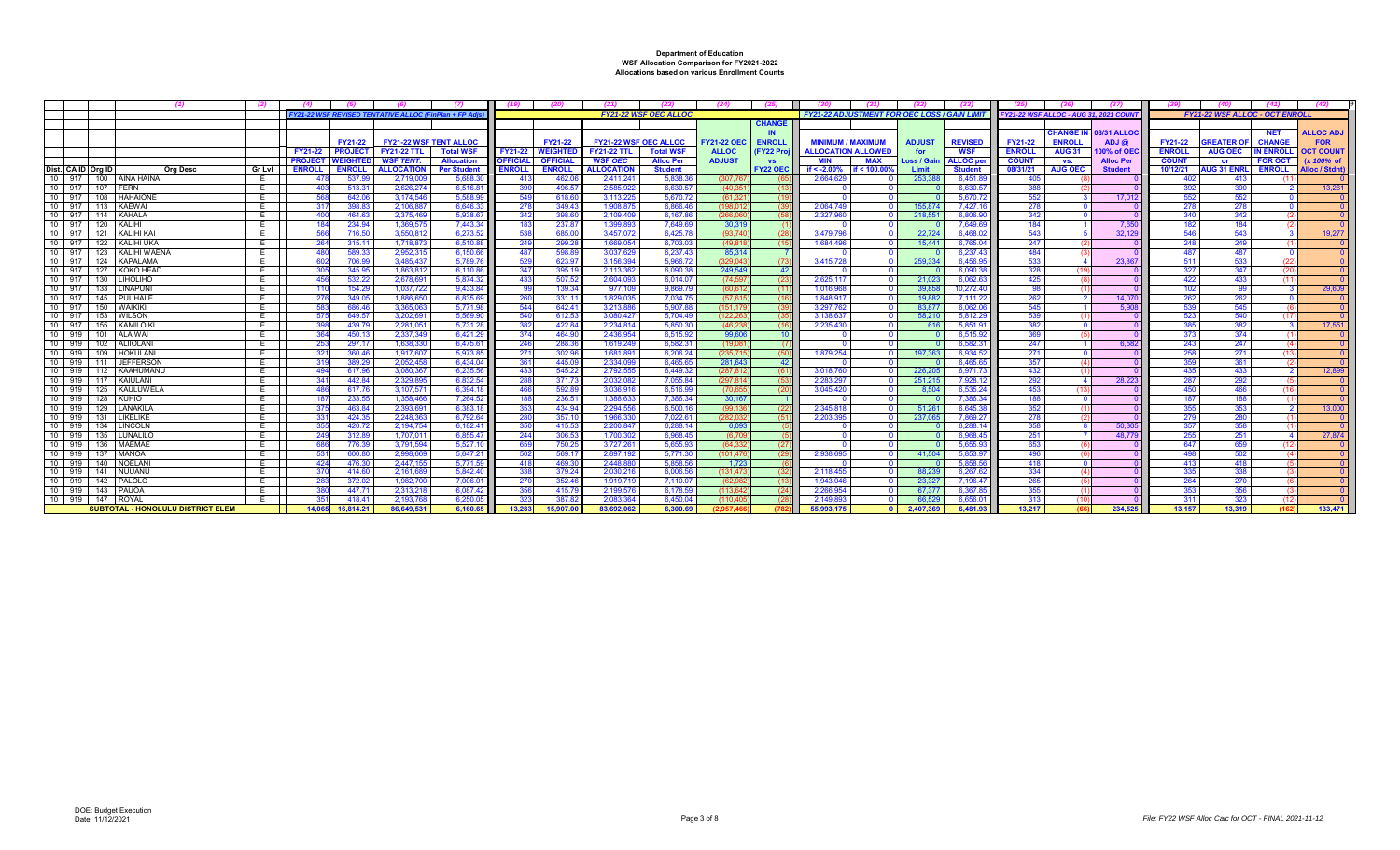|                    | - (1)                             |               |                      |                |                                              |                     |                |                 |                       |                              | (24)               | (25)             |                                                    |                |                    |                                              |                  |                    |               |                    |                                          |                 |
|--------------------|-----------------------------------|---------------|----------------------|----------------|----------------------------------------------|---------------------|----------------|-----------------|-----------------------|------------------------------|--------------------|------------------|----------------------------------------------------|----------------|--------------------|----------------------------------------------|------------------|--------------------|---------------|--------------------|------------------------------------------|-----------------|
|                    |                                   |               |                      |                | <b>FY21-22 WSF REVISED TENTATIVE ALLOC (</b> | 'lan + FP ∤         |                |                 |                       | <b>FY21-22 WSF OEC ALLOC</b> |                    |                  | <b>FY21-22 ADJUSTMENT FOR OEC LOSS / GAIN LIMI</b> |                |                    | <b>FY21-22 WSF ALLOC - AUG 31, 2021 COUN</b> |                  |                    |               |                    | <b>FY21-22 WSF ALLOC - OCT ENROLL</b>    |                 |
|                    |                                   |               |                      |                |                                              |                     |                |                 |                       |                              |                    | <b>CHANGE</b>    |                                                    |                |                    |                                              |                  |                    |               |                    |                                          |                 |
|                    |                                   |               |                      |                |                                              |                     |                |                 |                       |                              |                    | IN               |                                                    |                |                    |                                              | <b>HANGE IN:</b> | <b>08/31 ALLOC</b> |               |                    | <b>ALLOC ADJ</b><br><b>NET</b>           |                 |
|                    |                                   |               |                      | FY21-22        | <b>FY21-22 WSF TENT ALLOC</b>                |                     |                | FY21-22         | FY21-22 WSF OEC ALLOC |                              | <b>FY21-22 OEC</b> | <b>ENROLL</b>    | <b>MINIMUM / MAXIMUM</b>                           | <b>ADJUST</b>  | <b>REVISED</b>     | <b>FY21-22</b>                               | <b>ENROLL</b>    | ADJ@               | FY21-22       | <b>REATER O</b>    | <b>CHANGE</b><br><b>FOR</b>              |                 |
|                    |                                   |               | <b>FY21-22</b>       | <b>PROJEC</b>  | <b>FY21-22 TTL</b>                           | <b>Total WSF</b>    | <b>FY21-22</b> | VEIGHTEI        | <b>FY21-22 TTL</b>    | <b>Total WSF</b>             | <b>ALLOC</b>       | <b>FY22 Proj</b> | <b>ALLOCATION ALLOWED</b>                          | for            | <b>WSF</b>         | <b>ENROLL</b>                                | <b>AUG 31</b>    | 00% of OE          | <b>ENROLL</b> | <b>AUG OEC</b>     | <b>N ENROLL</b><br><b>OCT COUNT</b>      |                 |
|                    |                                   |               | <b>PROJECT</b>       | <b>VEIGHTE</b> | WSF TENT.                                    | <b>Allocation</b>   | <b>OFFICIA</b> | <b>OFFICIAL</b> | <b>WSF OEC</b>        | <b>Alloc Per</b>             | <b>ADJUST</b>      | <b>VS</b>        | MAX<br>MIN                                         | Loss / Gaiı    | <b>ALLOC</b> per   | <b>COUNT</b>                                 | VS.              | <b>Alloc Per</b>   | <b>COUNT</b>  | <b>or</b>          | <b>FOR OCT</b><br>$(x 100\% \text{ of }$ |                 |
| Dist. CA ID Ora ID | Ora Desc                          | <b>Gr Lvl</b> | <b>ENROLL</b>        | <b>ENROL</b>   | <b>ALLOCATION</b>                            | <b>Per Student</b>  | <b>ENROLI</b>  | <b>ENROLL</b>   | <b>ALLOCATION</b>     | <b>Student</b>               |                    | <b>FY22 OEC</b>  | if $< -2.00%$<br>if < $100.00$                     | Limit          | <b>Student</b>     | 08/31/21                                     | <b>AUG OEC</b>   | <b>Student</b>     | 10/12/21      | <b>AUG 31 ENRL</b> | <b>ENROLL</b><br><b>Alloc / Stdnt</b>    |                 |
|                    | 10 917 100 AINA HAINA             |               | -47                  | 537.9          | 2.719.009                                    | 5.688.3             | -413           | 462.0           | 2.411.24              | 5.838.3                      | (307.76            |                  | 2.664.629                                          | 253.38         | 6,451.             | -405                                         |                  |                    | 402           | 413                |                                          |                 |
|                    | 10 917 107 FERN                   |               |                      | 513.3          | 2.626.274                                    | 6.516.8             |                | 496.5           | 2.585.922             | 6.630.5                      | (40.35)            | - (13            |                                                    |                | 6,630.5            | 388                                          |                  |                    | 392           | 390                |                                          | $13.26^{\circ}$ |
| 10 917             | 108<br><b>HAHAIONE</b>            | E             |                      | 642.0          | 3.174.546                                    | 5.588.9             |                | 618.6           | 3.113.22              | 5.670.7                      | (61.32)            |                  |                                                    |                | 5.670.7            | 552                                          |                  | 17.012             | 552           | 552                |                                          |                 |
|                    | 10 917 113 KAEWAI                 | E             | -31                  | 398.8          | 2.106.88                                     | 6.646.3             | -27            | 349.43          | 1.908.875             | 6.866.46                     | (198.01)           | (39)             | 2.064.74                                           | 155,874        | 7.427.1            | 278                                          |                  |                    | 278           | 278                |                                          |                 |
|                    | 10 917 114 KAHALA                 | E             | 400                  | 464.6          | 2.375.469                                    | 5.938.6             | 342            | 398.6           | 2.109.409             | 6.167.8                      | (266.06            | (58              | 2.327.96                                           | 218.55         | 6,806.9            | 342                                          |                  |                    | 340           | 342                |                                          |                 |
| 10 917             | 120<br>KALIHI                     | E             |                      | 234.9          | 1.369.57                                     | 7.443.34            |                | 237.8           | 1.399.89              | 7.649.6                      | 30,31              |                  |                                                    |                | 7.649.6            | 184                                          |                  | 7.650              | 182           | 184                |                                          |                 |
| $10$ 917           | 121<br>I KALIHI KAI               |               |                      | 716.5          | 3.550.81                                     | 6.273.5             |                | 685.0           | 3.457.07              | 6,425.7                      | (93.74)            | - (28            | 3.479.79                                           | 22,724         | 6.468.0            | 543                                          |                  | 32,12              | 546           | 543                |                                          | 19.277          |
| 10 917             | 122<br>I KALIHI UKA               | E             | 264                  | 315.1'         | 1.718.873                                    | 6.510.88            | 249            | 299.2           | 1.669.054             | 6.703.0                      | (49.81)            | (15)             | 1.684.49                                           | 15.44'         | 6.765.04           | 247                                          |                  |                    | 248           | 249                |                                          |                 |
|                    | 10 917 123 KALIHI WAENA           |               |                      | 589.3          | 2.952.31                                     | 6,150.66            |                | 598.8           | 3.037.629             | 6.237.43                     | 85.31              |                  |                                                    |                | 6.237.4            | 484                                          |                  |                    | 487           | 487                |                                          |                 |
| 10 917             | 124 KAPALAMA                      |               |                      | 706.9          | 3.485.437                                    | 5.789.7             | -52            | 623.9           | 3.156.394             | 5.966.7                      | (329.04            | (73)             | 3,415,72                                           | 259.33         | 6,456.9            | 533                                          |                  | 23,86              | 511           | 533                |                                          |                 |
| 10 917<br>$10$ 917 | 127<br>KOKO HEAD                  | E.            |                      | 345.9          | 1.863.812                                    | 6.110.86            | -347<br>-433   | 395.1           | 2.113.362             | 6.090.3                      | 249.54             | 42               |                                                    |                | 6.090.3            | 328<br>425                                   |                  |                    | 327<br>422    | 347<br>433         |                                          |                 |
|                    | 130<br>LIHOLIHO                   | ᄇ             | 45                   | 532.2          | 2.678.69                                     | 5.874.32            |                | 507.5           | 2.604.09              | 6.014.0                      | (74.59)            | - (23            | 2.625.11                                           | 21.02          | 6.062.6            |                                              |                  |                    |               |                    |                                          |                 |
| 10 917 133         | I LINAPUNI                        | E             |                      | 154.2          | 1.037.722                                    | 9.433.8             |                | 139.34          | 977.109               | 9.869.7                      | (60.61)            | (11)             | 1.016.96                                           | 39.85          | 10.272.4           | 98                                           |                  |                    | 102           | 99                 |                                          | 29,609          |
| 10 917<br>10 917   | 145<br>PUUHALE<br><b>WAIKIKI</b>  | E             |                      | 349.0          | 1.886.65<br>3.365.06                         | 6.835.6<br>5.771.98 | 544            | 331.1'          | 1.829.03              | 7.034.7                      | (57.61)<br>(151.17 | - 116            | 1.848.91                                           | 19.882         | 7.111.22           | 262                                          |                  | 14.07              | 262<br>539    | 262                |                                          |                 |
| 10 917             | 150<br>153                        |               | -57                  | 686.4<br>649.5 | 3.202.69                                     | 5.569.9             | 540            | 642.41<br>612.5 | 3,213,88<br>3.080.427 | 5,907.8<br>5.704.49          | (122.26)           | -639<br>-635     | 3,297,76<br>3.138.63                               | 83.87<br>58.21 | 6,062.0<br>5.812.2 | 545<br>539                                   |                  | 5.908              | 523           | 545<br>540         |                                          |                 |
| 10 917             | WILSON<br>155<br>KAMILOIK         | E<br>Ε        |                      | 439.7          | 2.281.05                                     | 5.731.2             |                | 422.8           | 2.234.814             | 5.850.3                      | (46.23)            |                  | 2.235.43                                           |                | 5,851.9            | 382                                          |                  |                    |               | 382                |                                          | 17.551          |
| 10 919 101         | <b>ALA WAI</b>                    |               |                      | 450.1          | 2.337.349                                    | 6.421.29            | -374           | 464.90          | 2.436.954             | 6.515.92                     | 99.60              | $-10$            |                                                    | - 61           | 6.515.9            | 369                                          |                  |                    | 373           | 374                |                                          |                 |
| 10 919             | 102<br>ALIIOLAN                   | E             | -364<br>$25^{\circ}$ | 297.1          | 1.638.330                                    | 6.475.6             | -24            | 288.3           | 1.619.249             | 6.582.3                      | (19.08)            |                  |                                                    |                | 6.582.3            | 247                                          |                  | 6.582              | 243           | 247                |                                          |                 |
| 10 919             | 109<br><b>HOKULANI</b>            | E             |                      | 360.46         | 1.917.60                                     | 5.973.8             | 27'            | 302.9           | 1.681.89              | 6.206.24                     | (235.71)           | (50)             | 1.879.254                                          | 197.36         | 6.934.5            | 271                                          |                  |                    | 258           | 271                |                                          |                 |
|                    | 10 919 111 JEFFERSON              | E.            |                      | 389.2          | 2.052.458                                    | 6.434.0             | -361           | 445.09          | 2.334.099             | 6.465.6                      | 281.64             | 42               |                                                    |                | 6.465.6            | 357                                          |                  |                    | 359           | 361                |                                          |                 |
|                    | 10 919 112 KAAHUMANU              | Е.            |                      | 617.9          | 3.080.36                                     | 6.235.56            | 43             | 545.2           | 2.792.55              | 6.449.3                      | (287, 81)          |                  | 3.018.76                                           | 226.20         | 6,971.7            | 432                                          |                  |                    | 435           | 433                |                                          | 12,899          |
|                    | 10 919 117 KAIULANI               | E             |                      | 442.8          | 2.329.89                                     | 6.832.5             |                | 371.7           | 2.032.082             | 7.055.8                      | (297.81)           |                  | 2.283.29                                           | 251.21         | 7.928.1            | 292                                          |                  | 28,223             | 287           | 292                |                                          |                 |
| 10 919 125         | <b>KAULUWELA</b>                  | E             |                      | 617.7          | 3.107.57                                     | 6.394.1             |                | 592.8           | 3.036.91              | 6.516.9                      | (70.65             | (20              | 3.045.42                                           | 8.504          | 6.535.2            | 453                                          |                  |                    | 450           | 466                |                                          |                 |
| 10 919             | 128<br><b>KUHIO</b>               | E.            | -187                 | 233.55         | 1.358.466                                    | 7,264.52            |                | 236.51          | 1.388.633             | 7.386.34                     | 30.16              |                  |                                                    |                | 7.386.3            | 188                                          |                  |                    | 187           | 188                |                                          |                 |
| 10 919             | 129<br>I LANAKILA                 | E             |                      | 463.8          | 2.393.69                                     | 6.383.1             |                | 434.94          | 2.294.556             | 6.500.1                      | (99.13)            | - (22            | 2.345.81                                           | 51.26          | 6.645.3            | 352                                          |                  |                    | 355           | 353                |                                          | 13,000          |
| 10 919             | 131<br>I LIKELIKE                 | <b>E</b>      |                      | 424.3          | 2.248.36                                     | 6.792.6             |                | 357.            | 1.966.330             | 7.022.6                      | (282.03)           |                  | 2.203.39                                           | 237.06         | 7.869.2            | 278                                          |                  |                    | 279           | 280                |                                          |                 |
| 10 919             | 134<br>LINCOLN                    | E.            |                      | 420.7          | 2.194.754                                    | 6.182.41            | -350           | 415.53          | 2.200.847             | 6.288.1                      | 6.09               |                  |                                                    |                | 6.288.1            | 358                                          |                  | 50.30              | 357           | 358                |                                          |                 |
| 10 919 135         | LUNALILO                          | E             | 249                  | 312.8          | 1.707.01                                     | 6.855.47            | 244            | 306.5           | 1.700.302             | 6.968.45                     | (6.70)             |                  |                                                    |                | 6.968.4            | 251                                          |                  | 48.779             | 255           | 251                |                                          | 27,874          |
| 10 919 136         | MAEMAE                            | E.            |                      | 776.3          | 3.791.594                                    | 5.527.1             |                | 750.2           | 3.727.26              | 5.655.9                      | (64.33)            | (27)             |                                                    |                | 5.655.9            | 653                                          |                  |                    | 647           | 659                |                                          |                 |
| 10 919             | 137<br><b>MANOA</b>               | E.            |                      | 600.8          | 2.998.66                                     | 5.647.2             |                | 569.1           | 2.897.19              | 5.771.30                     | (101.47)           | (29)             | 2,938,69                                           | 41.504         | 5,853.9            | -496                                         |                  |                    | 498           | 502                |                                          |                 |
| $10$ 919           | 140<br>NOELAN                     |               | 424                  | 476.3          | 2.447.15                                     | 5.771.5             | -41            | 469.3           | 2.448.88              | 5.858.56                     | 1,72               |                  |                                                    |                | 5.858.5            | 418                                          |                  |                    | 413           | 418                |                                          |                 |
| 10 919             | 141<br>I NUUANL                   | E             |                      | 414.6          | 2.161.68                                     | 5.842.4             | -338           | 379.2           | 2.030.21              | 6.006.56                     | (131.47            | (32)             | 2.118.45                                           | 88.23          | 6.267.6            | 334                                          |                  |                    | 335           | 338                |                                          |                 |
| 10 919             | 142<br>PALOLO                     |               |                      | 372.0          | 1.982.700                                    | 7.006.0             | -27            | 352.4           | 1.919.719             | 7.110.0                      | (62.98             |                  | 1.943.04                                           | 23.327         | 7.196.47           | 265                                          |                  |                    | 264           | 270                |                                          |                 |
|                    | 10 919 143 PAUOA                  |               |                      | 447.7          | 2,313,21                                     | 6.087.42            |                | 415.7           | 2,199,576             | 6,178.59                     | (113.64)           | - (24            | 2,266,95                                           | 67.37          | 6,367.8            | 355                                          |                  |                    | 353           | 356                |                                          |                 |
|                    | 10 919 147 ROYAL                  | E             |                      | 418.4          | 2.193.76                                     | 6.250.0             | -323           | 387.83          | 2.083.364             | 6.450.0                      | (110.40)           |                  | 2.149.893                                          | 66.52          | 6.656.0            | 313                                          |                  |                    | 311           | 323                |                                          |                 |
|                    | SUBTOTAL - HONOLULU DISTRICT ELEM |               | 14.065               | 16.814.21      | 86.649.531                                   | 6.160.65            | 13.283         | 15.907.00       | 83,692,062            | 6.300.69                     | (2.957.4)          |                  | 55.993.175                                         | 2.407.369      | 6.481.93           | 13.217                                       |                  | 234.525            | 13.157        | 13.319             |                                          | 133.471         |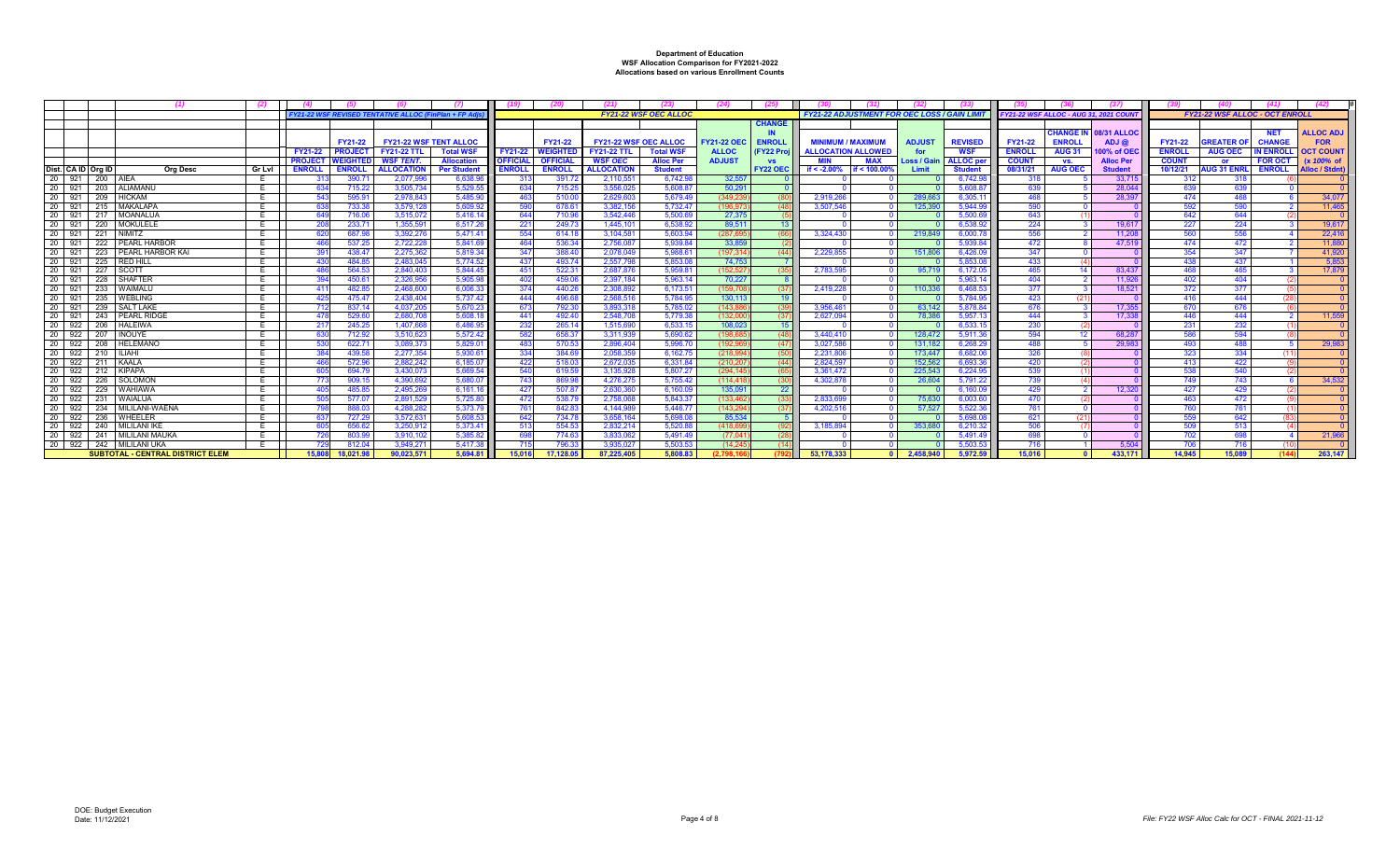|                               |                                         |               |                |                 | <b>FY21-22 WSF REVISED TENTATIVE ALLOC (FinPlan + FP Ad</b> |                     |                 |                 |                              | <b>FY21-22 WSF OEC ALLOC</b> |                    |                 | <b>FY21-22 ADJUSTMENT FOR OEC LOSS / GAIN LIN</b> |              |                    |                    | FY21-22 WSF ALLOC - AUG 31, 2021 COUN |                  |                  |               | <b>FY21-22 WSF ALLOC - OCT ENROLL</b> |                 |                      |
|-------------------------------|-----------------------------------------|---------------|----------------|-----------------|-------------------------------------------------------------|---------------------|-----------------|-----------------|------------------------------|------------------------------|--------------------|-----------------|---------------------------------------------------|--------------|--------------------|--------------------|---------------------------------------|------------------|------------------|---------------|---------------------------------------|-----------------|----------------------|
|                               |                                         |               |                |                 |                                                             |                     |                 |                 |                              |                              |                    | <b>CHANG</b>    |                                                   |              |                    |                    |                                       |                  |                  |               |                                       |                 |                      |
|                               |                                         |               |                |                 |                                                             |                     |                 |                 |                              |                              |                    |                 |                                                   |              |                    |                    |                                       | <b>CHANGE IN</b> | 08/31 ALLOC      |               |                                       | <b>NET</b>      | <b>ALLOC ADJ</b>     |
|                               |                                         |               |                | FY21-22         | <b>FY21-22 WSF TENT ALLOC</b>                               |                     |                 | FY21-22         | <b>FY21-22 WSF OEC ALLOC</b> |                              | <b>FY21-22 OEC</b> | <b>ENROLI</b>   | <b>MINIMUM / MAXIMUM</b>                          |              | <b>ADJUST</b>      | <b>REVISED</b>     | <b>FY21-22</b>                        | <b>ENROLL</b>    | ADJ@             | FY21-22       | <b>SREATER O</b>                      | <b>CHANGE</b>   | <b>FOR</b>           |
|                               |                                         |               | <b>FY21-22</b> | <b>PROJEC</b>   | <b>FY21-22 TTL</b>                                          | <b>Total WSF</b>    | FY21-22         | <b>WEIGHTE</b>  | <b>FY21-22 TTL</b>           | <b>Total WSF</b>             | <b>ALLOC</b>       | <b>FY22 Pro</b> | <b>ALLOCATION ALLOWED</b>                         |              | for                | <b>WSF</b>         | <b>ENROLL</b>                         | <b>AUG 31</b>    | 00% of OE        | <b>ENROLL</b> | <b>AUG OEC</b>                        | <b>N ENROLI</b> | <b>OCT COUNT</b>     |
|                               |                                         |               | <b>PROJECT</b> | <b>NEIGHTED</b> | WSF TENT.                                                   | <b>Allocation</b>   | <b>OFFICIAL</b> | <b>OFFICIAL</b> | <b>WSF OEC</b>               | <b>Alloc Per</b>             | <b>ADJUST</b>      | <b>VS</b>       | <b>MIN</b>                                        | MAX          | <b>Loss / Gain</b> | <b>ALLOC</b> per   | <b>COUNT</b>                          | VS.              | <b>Alloc Per</b> | <b>COUNT</b>  | <b>or</b>                             | <b>FOR OCT</b>  | (x 100% of           |
| Dist. CA ID Org ID            | Org Desc                                | <b>Gr Lvl</b> | <b>ENROLL</b>  | <b>ENROLL</b>   | <b>ALLOCATION</b>                                           | <b>Per Studen</b>   | <b>ENROLL</b>   | <b>ENROLL</b>   | <b>ALLOCATION</b>            | <b>Student</b>               |                    | <b>FY22 OEC</b> | if $< -2.00\%$                                    | if < 100.00% | <b>Limit</b>       | <b>Student</b>     | 08/31/21                              | <b>AUG OEC</b>   | <b>Studen</b>    | 10/12/21      | <b>NUG 31 ENRL</b>                    | <b>ENROLL</b>   | <b>Alloc / Stdnt</b> |
| 20<br>921 200 AIEA            |                                         |               |                | 390.7'          | 2.077.996                                                   | 6.638.9             | -313            | 391.7           | 2.110.551                    | 6.742.98                     | 32.557             |                 |                                                   |              |                    | 6.742.9            | 318                                   |                  | 33,71            | -312          | 318                                   |                 |                      |
| - 20<br>921<br>203            | ALIAMANU                                |               |                | 715.22          | 3.505.734                                                   | 5.529.5             |                 | 715.25          | 3.556.025                    | 5.608.8                      | 50.29              |                 |                                                   |              |                    | 5.608.8            | 63                                    |                  | 28,044           |               | -639                                  |                 |                      |
| 20 921 209 HICKAM             |                                         |               | 543            | 595.91          | 2.978.843                                                   | 5.485.90            | 463             | 510.00          | 2.629.603                    | 5.679.49                     | (349.23)           |                 | 2.919.26                                          |              | 289.663            | 6.305.1            | 468                                   |                  | 28.39            | 474           | 468                                   |                 | 34,077               |
| 20<br>921                     | 215 MAKALAPA                            |               |                | 733.38          | 3.579.12                                                    | 5,609.92            |                 | 678.6           | 3.382.156                    | 5.732.47                     | (196.97            |                 | 3.507.546                                         |              | 125.39             | 5.944.9            | 590                                   |                  |                  | 592           | 590                                   |                 | 11,465               |
| 20<br>921<br>217              | MOANALUA                                |               |                | 716.06          | 3,515,07<br>1.355.591                                       | 5.416.1             | 64              | 710.96          | 3.542.446                    | 5,500.69                     | 27,37              |                 |                                                   |              |                    | 5,500.6            | 643                                   |                  |                  |               | 644                                   |                 |                      |
| 20<br>921<br>220<br>20<br>921 | <b>MOKULELE</b><br><b>NIMITZ</b>        | E             |                | 233.7           | 3.392.27                                                    | 6,517.26<br>5.471.4 | $22^{\circ}$    | 249.7           | 1,445,10<br>3.104.58         | 6.538.93                     | 89.51              |                 |                                                   |              | 219.84             | 6.538.9            | 224<br>556                            |                  | 19.617           | 227           | 224<br>556                            |                 | 19,617<br>22,416     |
| 221<br>20                     | 222 PEARL HARBOR                        |               |                | 687.9<br>537.25 | 2.722.228                                                   | 5.841.69            | 464             | 614.1<br>536.34 | 2.756.087                    | 5,603.9<br>5.939.84          | (287.6)<br>33.85   |                 | 3.324.43                                          |              |                    | 6.000.7<br>5.939.8 |                                       |                  | 11.20<br>47.51   | 474           |                                       |                 | 11,880               |
| 921<br>-20<br>921             | PEARL HARBOR KAI                        | F.            |                | 438.47          | 2.275.362                                                   | 5.819.34            | 34              | 388.40          | 2.078.049                    |                              | (197.31)           |                 | 2.229.85                                          |              | 151.80             | 6.426.0            | 472<br>347                            |                  |                  | 354           | 472<br>347                            |                 | 41.920               |
| 223<br>20<br>225<br>921       | RED HILL                                |               |                | 484.85          | 2.483.045                                                   | 5.774.52            | 437             | 493.74          | 2.557.798                    | 5.988.6<br>5.853.0           | 74.75              |                 |                                                   |              |                    | 5.853.0            | 433                                   |                  |                  | 438           | 437                                   |                 | 5.853                |
| 20 921<br>227                 | SCOTT                                   |               |                | 564.53          | 2.840.403                                                   | 5.844.4             | $45^{\circ}$    | $522.3^{\circ}$ | 2.687.876                    | 5.959.8                      | (152.52)           |                 | 2.783.59                                          |              | 95.71              | 6.172.0            | 465                                   |                  | 83.437           | 468           | 465                                   |                 | 17,879               |
| 20<br>921<br>228              | SHAFTER                                 |               |                | 450.6           | 2.326.956                                                   | 5.905.9             |                 | 459.06          | 2.397.184                    | 5.963.1                      | 70.22              |                 |                                                   |              |                    | 5.963.             | 404                                   |                  | 11.92            |               | 404                                   |                 |                      |
| 20<br>921<br>233              | WAIMALU                                 |               | 41             | 482.85          | 2.468.600                                                   | 6,006.33            | 374             | 440.26          | 2.308.892                    | 6.173.5                      | (159.7)            |                 | 2.419.22                                          |              | 110.336            | 6.468.5            | 377                                   |                  | 18.521           | 372           | 377                                   |                 |                      |
| 20 921<br>235                 | <b>WEBLING</b>                          | E             |                | 475.47          | 2438.404                                                    | 5.737.42            | 444             | 496.68          | 2.568.516                    | 5.784.9                      | 130.11             |                 |                                                   |              |                    | 5,784.9            | 423                                   |                  |                  | 416           | 444                                   |                 |                      |
| 20<br>921                     | 239 SALT LAKE                           | Е.            |                | 837.14          | 4.037.205                                                   | 5.670.2             | 67              | 792.30          | 3.893.318                    | 5.785.02                     | (143.88)           |                 | 3.956.46                                          |              | 63.142             | 5,878.8            | 676                                   |                  | 17.355           | 670           | 676                                   |                 |                      |
| 20<br>921 243 PEARL RIDG      |                                         |               | 47             | 529.6           | 2.680.708                                                   | 5,608.1             | 44 <sup>°</sup> | 492.4           | 2.548.70                     | 5.779.3                      | (132.00)           |                 | 2.627.09                                          |              | 78.38              | 5,957.             | 444                                   |                  | 17.33            | 446           | 444                                   |                 | 11.559               |
| 20<br>922 206 HALEIW          |                                         |               |                | 245.25          | 1.407.66                                                    | 6.486.9             | -23             | 265.1           | 1.515.690                    | 6.533.1                      | 108.02             |                 |                                                   |              |                    | 6.533.             | 230                                   |                  |                  | 231           | 232                                   |                 |                      |
| 20<br>922<br>207              | <b>INOUYE</b>                           |               |                | 712.92          | 3.510.623                                                   | 5,572.42            |                 | 658.37          | 3.311.939                    | 5.690.62                     | (198.6)            |                 | 3.440.41                                          |              | 128,47             | 5,911.3            | 594                                   |                  | 68.28            |               | 594                                   |                 |                      |
| -20<br>922 208 HELEMANO       |                                         | Е             |                | 622.7'          | 3.089.373                                                   | 5.829.0             | -483            | 570.53          | 2.896.404                    | 5.996.7                      | (192.96)           |                 | 3.027.58                                          |              | 131,182            | 6,268.2            | 488                                   |                  | 29.98            | 493           | 488                                   |                 | 29,983               |
| 20<br>922                     | 210 ILIAH                               | E             |                | 439.58          | 2.277.354                                                   | 5.930.6             | 33 <sub>6</sub> | 384.69          | 2.058.359                    | 6.162.7                      | (218.99)           |                 | 2.231.80                                          |              | 173.447            | 6.682.0            | 326                                   |                  |                  | 323           | 334                                   |                 |                      |
| 20<br>922 211 KAALA           |                                         |               |                | 572.96          | 2.882.242                                                   | 6.185.0             | -422            | 518.03          | 2.672.035                    | 6.331.8                      | (210.20)           |                 | 2.824.59                                          |              | 152.562            | 6,693.3            | 420                                   |                  |                  | 413           | 422                                   |                 |                      |
| 20<br>922 212 KIPAPA          |                                         |               |                | 694.7           | 3.430.073                                                   | 5,669.54            | 54              | 619.59          | 3.135.928                    | 5,807.27                     | (294.14)           |                 | 3,361,472                                         |              | 225,54             | 6,224.9            | 539                                   |                  |                  |               | 540                                   |                 |                      |
| 20<br>922<br>226              | SOLOMON                                 |               |                | 909.15          | 4.390.692                                                   | 5,680.07            | 743             | 869.98          | 4.276.275                    | 5.755.42                     | (114.41)           |                 | 4.302.878                                         |              | 26,604             | 5.791.22           | 739                                   |                  |                  | 749           | 743                                   |                 | 34.532               |
| 20<br>922 229 WAHIAWA         |                                         |               |                | 485.85          | 2.495.269                                                   | 6.161.16            | 427             | 507.87          | 2.630.360                    | 6.160.0                      | 135.09             | 22              |                                                   |              |                    | 6.160.0            | 429                                   |                  | 12,320           | 427           | 429                                   |                 |                      |
| 20<br>922<br>231              | <b>WAIALUA</b>                          | ь.            |                | 577.0           | 2.891.529                                                   | 5.725.80            | 47              | 538.7           | 2.758.06                     | 5.843.3                      | (133.46)           |                 | 2.833.69                                          |              | 75,630             | 6,003.6            | 470                                   |                  |                  | 463           | 472                                   |                 |                      |
| 20<br>922<br>234              | MILILANI-WAENA                          |               |                | 888.0           | 4.288.282                                                   | 5.373.7             | 76              | 842.8           | 4.144.98                     | 5.446.7                      | (143.29            |                 | 4.202.516                                         |              | 57,52              | 5,522.3            | 761                                   |                  |                  |               | 761                                   |                 |                      |
| 20<br>922 236                 | WHEELEF                                 |               |                | 727.29          | 3.572.631                                                   | 5.608.5             | -64             | 734.7           | 3.658.164                    | 5,698.0                      | 85.53              |                 |                                                   |              |                    | 5.698.             | 621                                   |                  |                  |               | 642                                   |                 |                      |
| 20<br>922                     | 240   MILILANI IKE                      | E.            |                | 656.62          | 3.250.912                                                   | 5,373.41            | 51              | 554.53          | 2.832.214                    | 5.520.8                      | (418.69)           |                 | 3.185.894                                         |              | 353.68             | 6.210.32           | 506                                   |                  |                  | 509           | 513                                   |                 |                      |
| -20                           | 922   241   MILILANI MAUKA              |               |                | 803.9           | 3.910.102                                                   | 5,385.82            |                 | 774.63          | 3.833.062                    | 5.491.49                     | (77.04)            |                 |                                                   |              |                    | 5.491.4            |                                       |                  |                  |               |                                       |                 | 21,966               |
| 20 922 242 MILILANI UKA       |                                         |               |                |                 | 3.949.27                                                    | 5.417.3             |                 | 796.3           | 3.935.027                    | 5.503.5                      | (14.24)            |                 |                                                   |              |                    | 5.503.             | 716                                   |                  | 5.504            | 706           |                                       |                 |                      |
|                               | <b>SUBTOTAL - CENTRAL DISTRICT ELEM</b> |               | 15,808         | 18.021.98       | 90.023.571                                                  | 5.694.81            | 15.016          | 17.128.05       | 87.225.405                   | 5.808.83                     | (2.798.16)         |                 | 53.178.333                                        |              | 2.458.940          | 5.972.59           | 15.016                                |                  | 433.171          | 14.945        | 15.089                                |                 | 263.147              |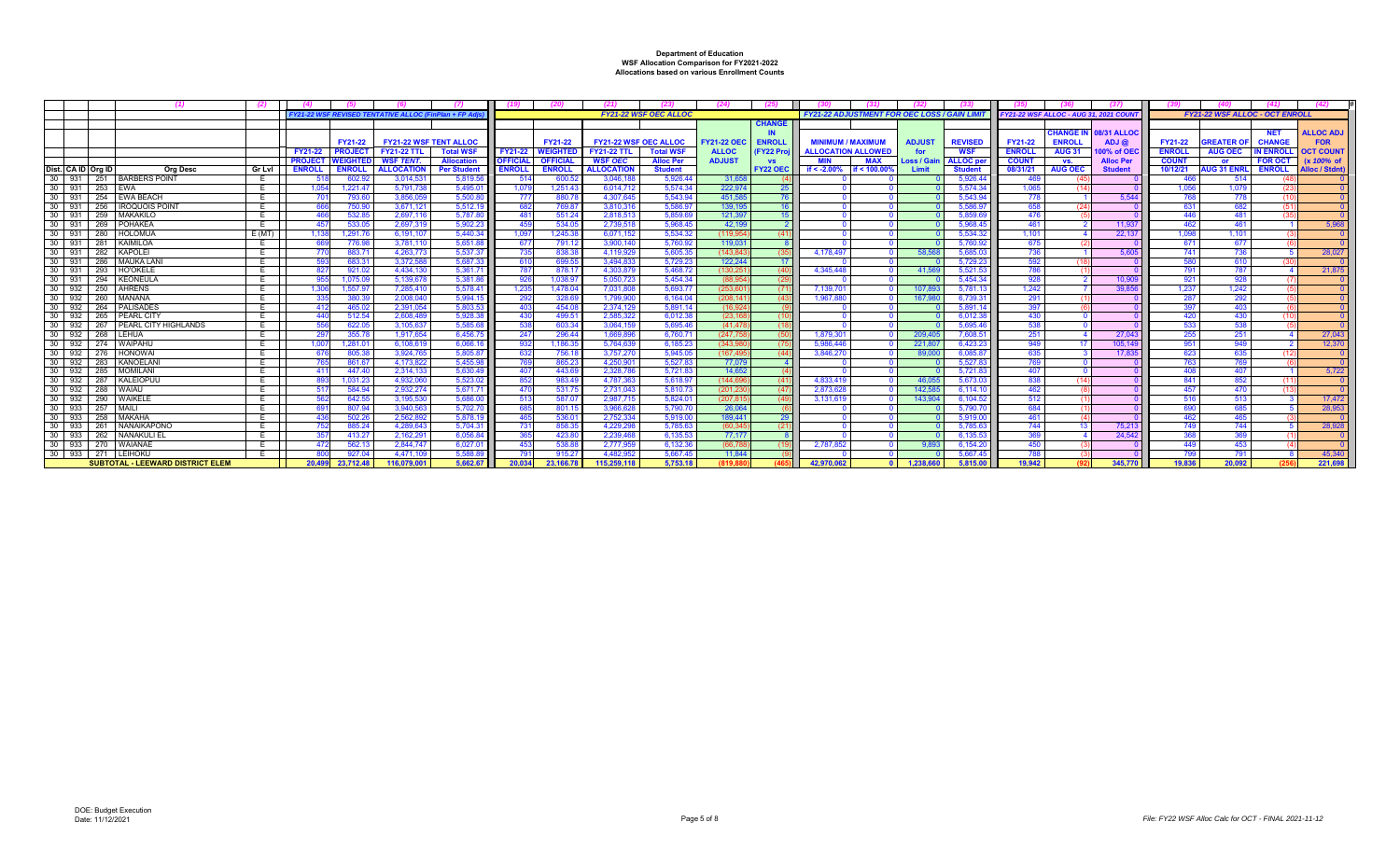|        |                         |                                          |          | <b>FY21-22 WSF REVISED TENTA</b>  | <b>IVE ALLOC (F</b>           | nPlan + FP A        |                         |                 |                              | <b>FY21-22 WSF OEC ALLOC</b> |                    |                  | <b>FY21-22 ADJUSTMENT FOR OEC LOSS / GAIN LIN</b> |               |                    | FY21-22 WSF ALLOC - AUG 31, 2021 COUN |                |                              |               | <b>FY21-22 WSF ALLOC - OCT ENROLL</b> |                 |                  |
|--------|-------------------------|------------------------------------------|----------|-----------------------------------|-------------------------------|---------------------|-------------------------|-----------------|------------------------------|------------------------------|--------------------|------------------|---------------------------------------------------|---------------|--------------------|---------------------------------------|----------------|------------------------------|---------------|---------------------------------------|-----------------|------------------|
|        |                         |                                          |          |                                   |                               |                     |                         |                 |                              |                              |                    | <b>CHANGE</b>    |                                                   |               |                    |                                       |                |                              |               |                                       |                 |                  |
|        |                         |                                          |          |                                   |                               |                     |                         |                 |                              |                              |                    |                  |                                                   |               |                    |                                       |                | <b>CHANGE IN 08/31 ALLOC</b> |               |                                       | <b>NET</b>      | <b>ALLOC ADJ</b> |
|        |                         |                                          |          | FY21-22                           | <b>FY21-22 WSF TENT ALLOC</b> |                     |                         | FY21-22         | <b>FY21-22 WSF OEC ALLOC</b> |                              | <b>FY21-22 OEC</b> | <b>ENROLL</b>    | <b>MINIMUM / MAXIMUM</b>                          | <b>ADJUST</b> | <b>REVISED</b>     | <b>FY21-22</b>                        | <b>ENROLL</b>  | ADJ@                         | FY21-22       | <b>SREATER O</b>                      | <b>CHANGE</b>   | <b>FOR</b>       |
|        |                         |                                          |          | <b>PROJECT</b><br><b>FY21-22</b>  | <b>FY21-22 TTL</b>            | <b>Total WSF</b>    | FY21-22                 | WEIGHTEI        | <b>FY21-22 TTL</b>           | <b>Total WSF</b>             | <b>ALLOC</b>       | (FY22 Proj       | <b>ALLOCATION ALLOWED</b>                         |               | <b>WSF</b>         | <b>ENROLL</b>                         | <b>AUG 31</b>  | 00% of OE                    | <b>ENROLL</b> | <b>AUG OEC</b>                        | <b>N ENROLI</b> | <b>OCT COUNT</b> |
|        |                         |                                          |          | <b>PROJECT</b><br><b>WEIGHTE</b>  | WSF TENT.                     | <b>Allocation</b>   | <b>OFFICIA</b>          | <b>OFFICIAL</b> | <b>WSF OEC</b>               | <b>Alloc Per</b>             | <b>ADJUST</b>      | <b>VS</b>        | <b>MIN</b><br><b>MAX</b>                          | .oss / Gail   | <b>ALLOC</b> pe    | <b>COUNT</b>                          | VS.            | <b>Alloc Per</b>             | <b>COUNT</b>  | or.                                   | <b>FOR OCT</b>  | (x 100% of       |
|        | Dist. CA ID Org ID      | <b>Org Desc</b>                          | Gr Lvl   | <b>ENROLL</b><br><b>ENROLL</b>    | <b>ALLOCATION</b>             | <b>Per Student</b>  | <b>ENROL</b>            | <b>ENROLL</b>   | <b>ALLOCATION</b>            | <b>Student</b>               |                    | FY22 OEC         | if $< -2.00%$<br>f < 100.00                       | I imit        | <b>Student</b>     | 08/31/21                              | <b>AUG OEC</b> | <b>Student</b>               | 10/12/21      | <b>UG 31 ENRI</b>                     | <b>ENROLL</b>   | Alloc / Stdnt)   |
|        | 30 931<br>251<br>30 931 | <b>BARBERS POINT</b>                     | E        | 602.9                             | 3.014.531                     | 5.819.5             | -514                    | 600.5           | 3.046.18                     | 5.926.4                      | 31.65              |                  |                                                   |               | 5.926.4            | 469                                   |                |                              | 466           | 514                                   |                 |                  |
|        | 253                     | EWA                                      | <b>E</b> | 1.221.4<br>1.05                   | 5.791.73                      | 5.495.0             | 1.07                    | 1.251.4         | 6.014.71                     | 5.574.3                      | 222.97             | -25              |                                                   |               | 5.574.3            | 1.065                                 |                |                              | 1.056         | 1.079                                 |                 |                  |
|        | 30 931<br>254<br>30 931 | EWA BEACH                                |          | 793.6                             | 3.856.05<br>3.671.121         | 5.500.8             | - 77                    | 880.7<br>769.8  | 4.307.645<br>3.810.31        | 5.543.9<br>5.586.9           | 451.58<br>139.19   | -76<br>16        |                                                   |               | 5.543.9            | 778                                   |                | 5.544                        | 768           | 778                                   |                 |                  |
| 30     | 256                     | <b>IROQUOIS POINT</b><br><b>MAKAKILC</b> | E        | 750.90                            | 2.697.116                     | 5.512.19<br>5.787.8 | -682<br>$\overline{AB}$ | 551.24          | 2.818.513                    | 5,859.6                      | 121.39             | 15 <sup>15</sup> |                                                   |               | 5.586.9<br>5.859.f | 658<br>476                            |                |                              | 631           | 682<br>481                            |                 |                  |
| 30 931 | 259<br>931<br>269       | POHAKEA                                  | E<br>E   | 532.8<br>533.0<br>45 <sub>1</sub> | 2.697.31                      | 5.902.23            |                         | 534.05          | 2.739.518                    | 5.968.45                     | 42.19              | $\overline{2}$   |                                                   |               | 5.968.4            | 461                                   |                | 11.937                       | 462           | 461                                   |                 | 5.968            |
| 30     | 931<br>280              | <b>HOLOMUA</b>                           | E(MT)    | 1,291.7<br>1.13                   | 6.191.10                      | 5.440.3             | 1.09                    | 1,245.3         | 6.071.152                    | 5.534.3                      | (119.95)           | (41)             |                                                   |               | 5,534.3            | 1.101                                 |                | 22.13                        | 1.098         | 1,101                                 |                 |                  |
| 30     | 931<br>281              | KAIMILOA                                 | E        | 776.9                             | 3.781.110                     | 5.651.8             | -67                     | 791.1           | 3.900.140                    | 5.760.92                     | 119.03             |                  |                                                   |               | 5.760.9            | <b>675</b>                            |                |                              | 671           | 677                                   |                 |                  |
| 30 931 | 282                     | KAPOLEI                                  | E        | 883.7                             | 4.263.773                     | 5.537.37            | -735                    | 838.3           | 4.119.929                    | 5.605.3                      | (143.84            | (35)             | 4.178.49                                          | 58.56         | 5.685.             | 736                                   |                | 5.605                        | 741           | 736                                   |                 | 28,027           |
|        | 30 931<br>286           | <b>MAUKA LANI</b>                        | E        | 683.31                            | 3.372.58                      | 5.687.33            | 610                     | 699.55          | 3.494.833                    | 5.729.2                      | 122.24             | 17               |                                                   |               | 5.729.2            | 592                                   |                |                              | 580           | 610                                   |                 |                  |
| 30 931 | 293                     | <b>HO'OKELE</b>                          |          | 921.02                            | 4.434.130                     | 5,361.7             | 787                     | 878.1           | 4.303.879                    | 5,468.7                      | (130.25)           | (40)             | 4.345.448                                         | 41.56         | 5,521.             | 786                                   |                |                              | 791           | 787                                   |                 | 21,875           |
| 30 931 | 294                     | <b>KEONEULA</b>                          |          | 1,075.09                          | 5.139.67                      | 5,381.8             |                         | 1,038.9         | 5.050.723                    | 5.454.3                      | (88.95             | - (29            |                                                   |               | 5,454.3            | 928                                   |                | 10.909                       | 921           | 928                                   |                 |                  |
|        | $30 \ 932$<br>250       | <b>AHRENS</b>                            | E        | 1.557.97<br>1.306                 | 7.285.410                     | 5.578.41            | 1.235                   | 1.478.04        | 7.031.808                    | 5.693.7                      | (253.60)           | (71)             | 7.139.70                                          | 107.89        | 5.781.1            | 1.242                                 |                | 39,856                       | 1.237         | 1.242                                 |                 |                  |
|        | 30 932<br>260           | MANANA                                   | E.       | 380.3                             | 2.008.04                      | 5,994.1             | -29:                    | 328.6           | 1.799.900                    | 6,164.0                      | (208.14)           | (43)             | 1.967.88                                          | 167.98        | 6,739.3            | 291                                   |                |                              | 287           | 292                                   |                 |                  |
|        | 30 932<br>264           | PALISADES                                | E        | 465.0                             | 2.391.054                     | 5.803.5             | <b>403</b>              | 454.0           | 2.374.129                    | 5,891.1                      | (16.92)            |                  |                                                   |               | 5.891.             | 397                                   |                |                              | 397           | 403                                   |                 |                  |
| 30     | 932<br>265              | PEARL CITY                               |          | 512.54                            | 2.608.489                     | 5.928.38            | -430                    | 499.5           | 2.585.322                    | 6.012.38                     | (23.16)            |                  |                                                   |               | 6.012.3            | 430                                   |                |                              | 420           | 430                                   |                 |                  |
|        | $30 \ 932$<br>267       | PEARL CITY HIGHLANDS                     |          | 622.0                             | 3.105.637                     | 5.585.6             |                         | 603.34          | 3.064.159                    | 5.695.46                     | (41.47)            | (18)             |                                                   |               | 5.695.46           | 538                                   |                |                              | 533           | 538                                   |                 |                  |
|        | $30$ 932<br>268         | LEHUA                                    | E        | 355.78<br>297                     | 1.917.654                     | 6,456.7             | 24                      | 296.44          | 1.669.896                    | 6.760.7                      | (247.75)           | (50)             | 1.879.30                                          | 209.40        | 7.608.5            | 251                                   |                | 27,043                       | 255           | 251                                   |                 | 27,043           |
| 30     | $932$<br>274            | WAIPAHU                                  |          | 1,281.0<br>1.00                   | 6.108.61                      | 6.066.1             |                         | 1.186.3         | 5.764.639                    | 6,185.23                     | (343.9)            |                  | 5.986.44                                          | 221.80        | 6.423.2            | 949                                   |                | 105.14                       | 951           | QAC                                   |                 | 12,370           |
|        | 30 932<br>276           | <b>HONOWAI</b>                           |          | 805.38                            | 3.924.76                      | 5.805.87            | -633                    | 756.18          | 3.757.270                    | 5.945.0                      | (167.49            | (44)             | 3.846.27                                          | 89,00         | 6,085.8            | 635                                   |                | 17.835                       | 623           | 635                                   |                 |                  |
| 30     | 932<br>283              | KANOELANI                                | E        | 861.6                             | 4.173.822                     | 5.455.9             |                         | 865.2           | 4.250.901                    | 5.527.8                      | 77.07              |                  |                                                   |               | 5.527              | 769                                   |                |                              | 763           | 769                                   |                 |                  |
|        | 30   932<br>285         | <b>MOMILANI</b>                          | ᄇ        | 447.40<br>$\mathbf{A}$            | 2.314.13                      | 5.630.4             |                         | 443.6           | 2.328.78                     | 5.721.8                      | 14.65              |                  |                                                   |               | 5.721.             | 40                                    |                |                              | 408           | 407                                   |                 | 5.722            |
|        | $30 \mid 932$<br>287    | KALEIOPUU                                | E        | 1,031.2                           | 4.932.06                      | 5.523.02            | -852                    | 983.4           | 4.787.363                    | 5.618.9                      | (144.69)           | (41)             | 4.833.419                                         | 46.05         | 5.673.             | 838                                   |                |                              | 841           | 852                                   |                 |                  |
|        | 30 932<br>288           | <b>WAIAU</b>                             | E        | 584.9                             | 2.932.27                      | 5,671.7             | -470                    | 531.            | 2.731.043                    | 5.810.7                      | (201.23)           | (47)             | 2.873.628                                         | 142.58        | 6.114.1            | 462                                   |                |                              | 457           | 470                                   |                 |                  |
| 30     | 290<br>932              | WAIKELE                                  | E        | 642.5                             | 3.195.530                     | 5,686.00            | 513                     | 587.0           | 2.987.715                    | 5.824.0                      | (207.81)           |                  | 3,131,619                                         | 143.90        | 6,104.52           | 512                                   |                |                              | 516           | 513                                   |                 | 17,472           |
|        | $30$ 933<br>257         | MAILI                                    | E        | 807.94                            | 3.940.563                     | 5.702.7             |                         | 801.7           | 3.966.628                    | 5.790.7                      | 26.06              |                  |                                                   |               | 5.790.7            | 684                                   |                |                              | 690           | 685                                   |                 | 28.953           |
| 30     | 933<br>258              | MAKAHA                                   |          | 502.26                            | 2.562.89                      | 5,878.1             |                         | 536.0           | 2.752.33                     | 5.919.0                      | 189.441            | 29               |                                                   |               | 5.919.0            | 461                                   |                |                              |               | 46                                    |                 |                  |
| 30     | 933<br>261              | <b>NANAIKAPONO</b>                       |          | 885.24                            | 4.289.64                      | 5.704.31            | -73                     | 858.3           | 4.229.29                     | 5.785.63                     | (60.34)            | (21)             |                                                   |               | 5,785.6            | 744                                   |                | 75.21                        | 749           | 744                                   |                 | 28,928           |
|        | $30$ 933<br>262         | <b>NANAKULI EI</b>                       | E        | 413.2                             | 2.162.291                     | 6.056.84            |                         | 423.8           | 2.239.468                    | 6.135.53                     | 77.17              |                  |                                                   |               | 6.135.5            | 369                                   |                | 24.542                       | 368           | 369                                   |                 |                  |
|        | 30 933<br>270           | WAIANAE                                  | E        | 562.13<br>47                      | 2.844.74                      | 6.027.01            | -453                    | 538.88          | 2.777.959                    | 6.132.36                     | (66.78)            |                  | 2.787.85                                          | 9.89          | 6.154.20           | 450                                   |                |                              | 449           | 453                                   |                 |                  |
|        | 30 933<br>271           | LEIHOKL                                  |          | 927.0                             | 4.471.109                     | 5.588.8             | -791                    | 915.2           | 4.482.952                    | 5.667.45                     | 11.84              |                  |                                                   |               | 5.667.             | -78                                   |                |                              | 799           | 791                                   |                 | 45,340           |
|        |                         | <b>SUBTOTAL - LEEWARD DISTRICT ELEM</b>  |          | 20.499<br>23.712.48               | 116.079.001                   | 5.662.67            | 20.034                  | 23.166.78       | 115.259.118                  | 5.753.18                     | 819.8              |                  | 42.970.062                                        | 1.238.660     | 5.815.00           | 19.942                                |                | 345.770                      | 19.836        | 20.092                                |                 | 221.698          |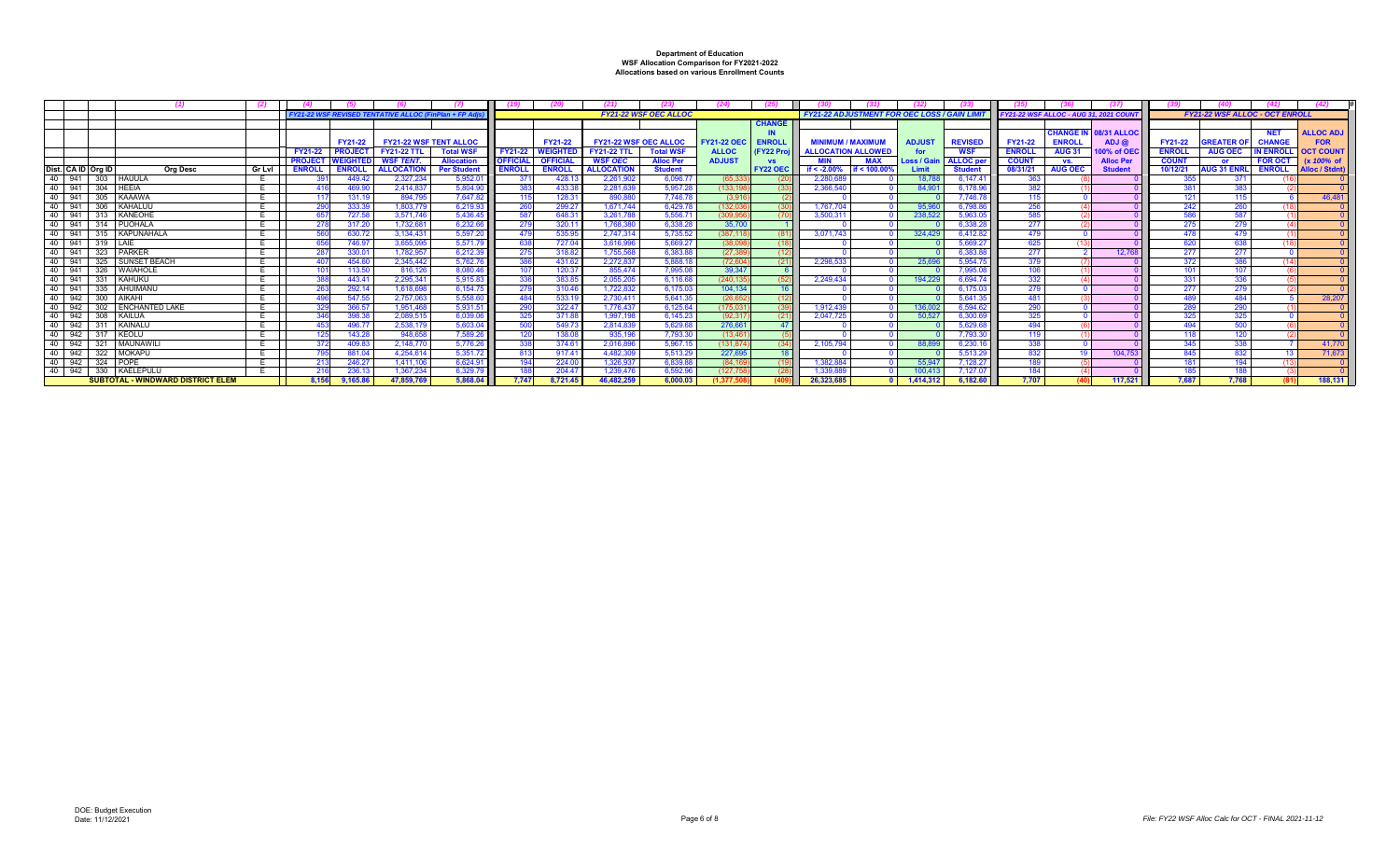|                          |                                          |        |                |                   | <b>FY21-22 WSF REVISED TENTATIVE ALLOC (FinPlan + FP Ad.</b> |                    |                 |                 |                              | <b>FY21-22 WSF OEC ALLOC</b> |                    |                   | <b>FY21-22 ADJUSTMENT FOR OEC LOSS / GAIN LIN</b> |               |               |                  | FY21-22 WSF ALLOC - AUG 31, 2021 COUNT |                |                              |               | <b>FY21-22 WSF ALLOC - OCT ENROLL</b> |                 |                  |
|--------------------------|------------------------------------------|--------|----------------|-------------------|--------------------------------------------------------------|--------------------|-----------------|-----------------|------------------------------|------------------------------|--------------------|-------------------|---------------------------------------------------|---------------|---------------|------------------|----------------------------------------|----------------|------------------------------|---------------|---------------------------------------|-----------------|------------------|
|                          |                                          |        |                |                   |                                                              |                    |                 |                 |                              |                              |                    | <b>CHANGE</b>     |                                                   |               |               |                  |                                        |                |                              |               |                                       |                 |                  |
|                          |                                          |        |                |                   |                                                              |                    |                 |                 |                              |                              |                    |                   |                                                   |               |               |                  |                                        |                | <b>CHANGE IN 08/31 ALLOC</b> |               |                                       | <b>NET</b>      | <b>ALLOC ADJ</b> |
|                          |                                          |        |                | FY21-22           | <b>FY21-22 WSF TENT ALLOC</b>                                |                    |                 | <b>FY21-22</b>  | <b>FY21-22 WSF OEC ALLOC</b> |                              | <b>FY21-22 OEC</b> | <b>ENROLL</b>     | <b>MINIMUM / MAXIMUM</b>                          |               | <b>ADJUST</b> | <b>REVISED</b>   | <b>FY21-22</b>                         | <b>ENROLL</b>  | ADJ C                        | FY21-22       | <b>SREATER</b>                        | <b>CHANGE</b>   | <b>FOR</b>       |
|                          |                                          |        | <b>FY21-22</b> | <b>PROJEC</b>     | <b>FY21-22 TTL</b>                                           | <b>Total WSF</b>   | <b>FY21-22</b>  | <b>WEIGHTE</b>  | <b>Y21-22 TTL</b>            | <b>Total WSF</b>             | <b>ALLOC</b>       | <b>FY22 Proil</b> | <b>ALLOCATION ALLOWED</b>                         |               | for.          | <b>WSF</b>       | <b>ENROLL</b>                          | <b>AUG 31</b>  | 00% of OE                    | <b>ENROLL</b> | <b>AUG OEC</b>                        | <b>N ENROLI</b> | <b>OCT COUNT</b> |
|                          |                                          |        | <b>PROJECT</b> | <b>WEIGHTED</b>   | <b>WSF TENT.</b>                                             | <b>Allocation</b>  | <b>OFFICIAL</b> | <b>OFFICIAL</b> | <b>WSF OEC</b>               | <b>Alloc Per</b>             | <b>ADJUST</b>      | <b>VS</b>         |                                                   | <b>MAX</b>    | Loss / Gair   | <b>ALLOC</b> per | <b>COUNT</b>                           | VS.            | <b>Alloc Pe</b>              | <b>COUNT</b>  | <b>or</b>                             | <b>FOR OCT</b>  | (x 100% of       |
| Dist. CA ID Org ID       | Ora Desc                                 | Gr Lvl | <b>ENROLI</b>  | <b>ENROLI</b>     | <b>ALLOCATION</b>                                            | <b>Per Student</b> | <b>ENROLL</b>   | <b>ENROLL</b>   | <b>ALLOCATION</b>            | <b>Student</b>               |                    | <b>FY22 OEC</b>   | if $< -2.00\%$                                    | if $< 100.00$ | <b>Limit</b>  | <b>Studen</b>    | 08/31/21                               | <b>AUG OEC</b> | <b>Studen</b>                | 10/12/21      | <b>AUG 31 ENR</b>                     | <b>ENROLL</b>   | Alloc / Stdnt)   |
| 40 941 303 HAUULA        |                                          |        |                |                   | 2,327,234                                                    | 5,952.0            |                 | 428.1           | 2,261,902                    | 6,096.7                      | (65.33             |                   | 2.280.                                            |               | 18.78         | 6.147.4          |                                        |                |                              |               | 371                                   |                 |                  |
| 40<br>941 304 HEEIA      |                                          |        |                | 469.90            | 2.414.837                                                    | 5,804.90           |                 | 433.3           | 2.281.639                    | 5,957.2                      | 133.1              |                   | 2,366,54                                          |               | 84.90         | 6,178.96         | 382                                    |                |                              |               |                                       |                 |                  |
| 40<br>305<br>941         | <b>KAAAWA</b>                            |        |                | 131.19            | 894.795                                                      | 7.647.82           |                 | 128.31          | 890,880                      | 7.746.7                      | (3.91)             |                   |                                                   |               |               | 7.746.7          | 115                                    |                |                              |               |                                       |                 | 46,481           |
| 40<br>941 306 KAHALUU    |                                          |        |                | 333.39            | 1,803,779                                                    | 6,219.93           |                 | 299.27          | 1.671.744                    | 6.429.7                      | (132.03)           |                   | 1.767.704                                         |               | 95,960        | 6,798.86         |                                        |                |                              |               |                                       |                 |                  |
| 40 941 313 KANEOHE       |                                          |        |                | 727.58            | 3.571.746                                                    | 5,436.45           |                 | 648.3           | 3.261.788                    | 5,556.7                      | (309.95)           |                   | 3,500,31                                          |               | 238,522       | 5,963.0          | 585                                    |                |                              |               | 587                                   |                 |                  |
| 40   941   314   PUOHALA |                                          |        |                | 317.20            | 1.732.681                                                    | 6.232.66           |                 | $320.1^{\circ}$ | 1.768.38                     | 6.338.2                      | 35,70              |                   |                                                   |               |               | 6.338.2          | 277                                    |                |                              |               | 279                                   |                 |                  |
| 40                       | 941 315 KAPUNAHALA                       |        |                | 630.72            | 3,134,431                                                    | 5,597.20           |                 | 535.95          | 2.747.314                    | 5,735.52                     | (387, 11           |                   | 3.071.743                                         |               | 324.429       | 6,412.82         | 479                                    |                |                              |               | 479                                   |                 |                  |
| 40 941 319 LAIE          |                                          |        |                | 746.97            | 3.655.095                                                    | 5,571.79           |                 | 727.0           | 3.616.996                    | 5.669.27                     | (38.09)            |                   |                                                   |               |               | 5.669.2          | 625                                    |                |                              | 620           | 638                                   |                 |                  |
| 40 941<br>323            | PARKER                                   |        |                | 3300 <sup>o</sup> | 1.782.957                                                    | 6.212.39           |                 | 318.82          | 1.755.568                    | 6.383.8                      | (27.38)            |                   |                                                   |               |               | 63831            | 277                                    |                | 12.76                        |               | 277                                   |                 |                  |
| 40 941 325 SUNSET BEACH  |                                          |        |                | 454.60            | 2.345.442                                                    | 5.762.7            |                 | 431.62          | 2.272.837                    | 5,888.1                      | (72.60)            |                   | 2.298.5                                           |               | 25.69         | 5,954.           | 379                                    |                |                              |               |                                       |                 |                  |
| 326<br>40<br>941         | <b>WAIAHOLI</b>                          |        |                | 113.50            | 816,126                                                      | 8.080.4            |                 | 120.37          | 855.474                      | 7.995.08                     | 39.347             |                   |                                                   |               |               | 79950            | 106                                    |                |                              |               | 107                                   |                 |                  |
| 40 941 331 KAHUKU        |                                          |        |                | 443.41            | 2.295.341                                                    | 5.915.83           |                 | 383.8           | 2.055.205                    | 6.116.6                      | (240.1)            |                   | 2.249.434                                         |               | 194.22        | 6.694.7          | 332                                    |                |                              |               |                                       |                 |                  |
| 40 941                   | 335 AHUIMANL                             |        |                | 292.14            | 1.618.698                                                    | 6,154.75           |                 | 310.4           | 1.722.832                    | 6.175.0                      | 104,134            |                   |                                                   |               |               | 6.175.           | 279                                    |                |                              | 277           | 279                                   |                 |                  |
| 942 300<br>40            | AIKAHI                                   |        |                | 547.55            | 2.757.06                                                     | 5,558.60           |                 | 533.1           | 2.730.41                     | 5.641.3                      | (26.65)            |                   |                                                   |               |               | 5.641.3          | 481                                    |                |                              |               | 484                                   |                 | 28.207           |
| 40                       | 942   302   ENCHANTED LAKE               |        |                | 366.57            | 1.951.468                                                    | 5.931.51           |                 | 322.47          | 1.776.437                    | 6.125.64                     | (175.03)           |                   | 1.912.439                                         |               | 136,002       | 6,594.6          |                                        |                |                              |               | 290                                   |                 |                  |
| 40<br>942 308 KAILUA     |                                          |        |                | 398.3             | 2.089.515                                                    | 6.039.06           |                 | 371.8           | 1.997.198                    | 6.145.23                     | (92.31)            |                   | 2.047.72                                          |               | 50.52         | 6,300.6          | 325                                    |                |                              |               | 325                                   |                 |                  |
| 40 942 311 KAINALU       |                                          |        |                | 496.7             | 2.538.17                                                     | 5,603.04           |                 | 549.7           | 2.814.839                    | 5.629.68                     | 276,66             |                   |                                                   |               |               | 5.629.           |                                        |                |                              |               |                                       |                 |                  |
| 942 317 KEOLU<br>40      |                                          |        |                | 143.28            | 948,658                                                      | 7,589.26           |                 | 138.08          | 935.196                      | 7,793.3                      | (13, 46)           |                   |                                                   |               |               | 7,793.3          | 119                                    |                |                              |               | 120                                   |                 |                  |
| 321<br>40<br>942         | MAUNAWIL                                 |        |                | 409.83            | 2.148.77                                                     | 5.776.26           |                 | $374.6^{\circ}$ | 2.016.896                    | 5.967.1                      | (131.87            |                   | 2.105.79                                          |               | 88.89         | 6.230.7          | 338                                    |                |                              | 345           | 338                                   |                 | 41,770           |
| 40 942 322 MOKAPL        |                                          |        |                | 881.04            | 4.254.614                                                    | 5.351.72           | -813            | 917.41          | 4.482.309                    | 5.513.2                      | 227.69             |                   |                                                   |               |               | 5.513.2          | 832                                    |                | 104.75                       | 845           | 832                                   |                 | 71.673           |
| 40 942 324 POPE          |                                          |        |                | 246.27            | 1.411.106                                                    | 6.624.91           |                 | 224.00          | 1.326.937                    | 6,839.8                      | (84.16)            |                   | 1.382.884                                         |               | 55,947        | 7,128.27         |                                        |                |                              |               | 194                                   |                 |                  |
| 40 942 330 KAELEPULU     |                                          |        |                |                   | 1.367.234                                                    | 6.329.7            |                 | 204.47          | 1.239.47                     | 6.592.9                      | 127.7              |                   | 1.339.8                                           |               | 100.41        | 7.127.0          | 184                                    |                |                              |               |                                       |                 |                  |
|                          | <b>SUBTOTAL - WINDWARD DISTRICT ELEM</b> |        | 8.156          | 9.165.86          | 47.859.769                                                   | 5.868.04           | 7.747           | 8.721.45        | 46.482.259                   | 6.000.03                     | (1.377.5           |                   | 26.323.685                                        |               | 1.414.312     | 6.182.60         | 7.707                                  |                | 117.521                      | 7.687         | 7.768                                 |                 | 188.131          |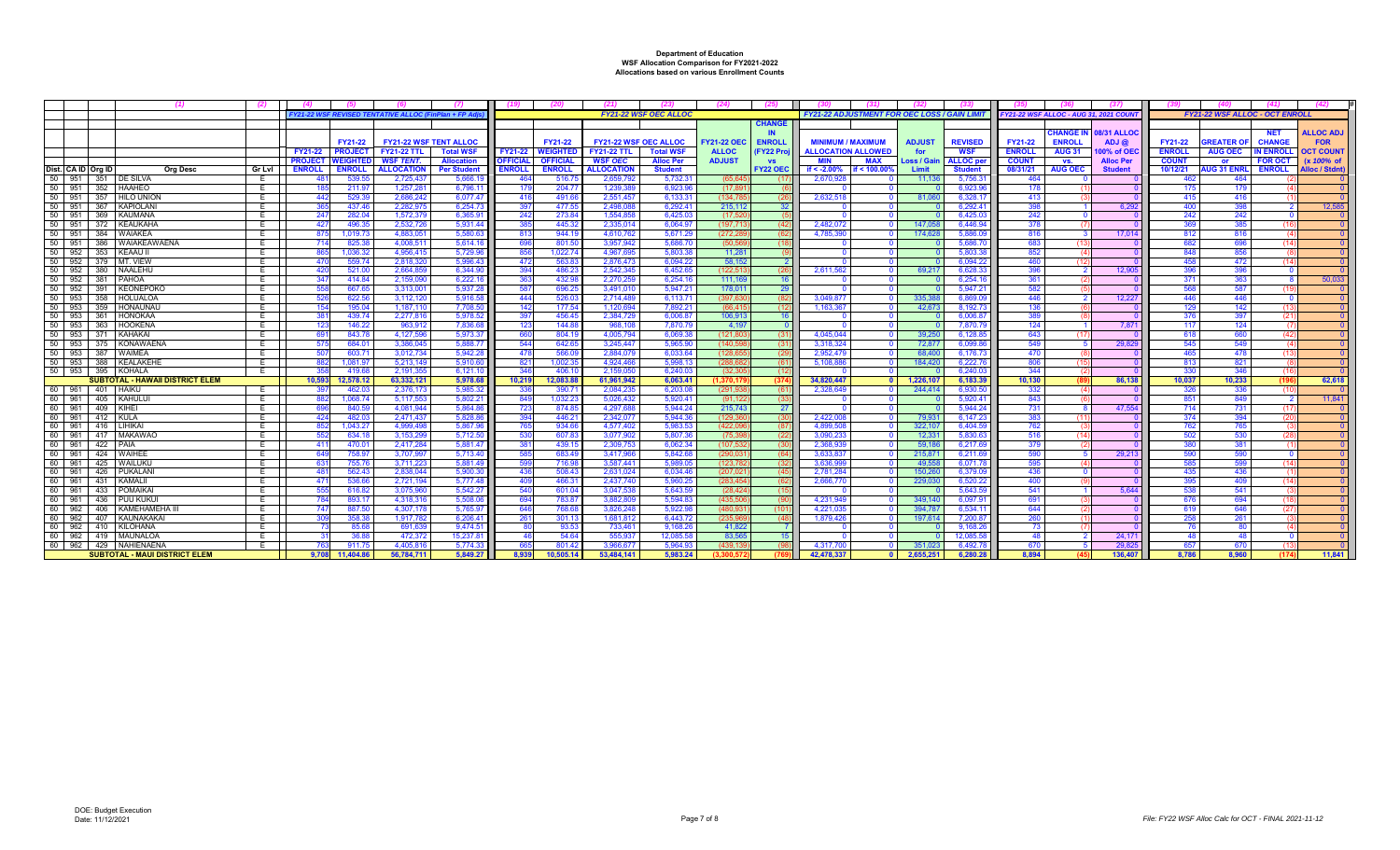|                  |                    |                                        | (2)           |                                                     |                      |                               |                 |                  |                       |                              | (24)                 |                  |                                                   |               |                   |                                       |                |                      |               |                                       |                |                  |
|------------------|--------------------|----------------------------------------|---------------|-----------------------------------------------------|----------------------|-------------------------------|-----------------|------------------|-----------------------|------------------------------|----------------------|------------------|---------------------------------------------------|---------------|-------------------|---------------------------------------|----------------|----------------------|---------------|---------------------------------------|----------------|------------------|
|                  |                    |                                        |               | FY21-22 WSF REVISED TENTATIVE ALLOC (FinPlan + FP A |                      |                               |                 |                  |                       | <b>FY21-22 WSF OEC ALLOC</b> |                      |                  | <b>FY21-22 ADJUSTMENT FOR OEC LOSS / GAIN LIN</b> |               |                   | FY21-22 WSF ALLOC - AUG 31, 2021 COUN |                |                      |               | <b>FY21-22 WSF ALLOC - OCT ENROLI</b> |                |                  |
|                  |                    |                                        |               |                                                     |                      |                               |                 |                  |                       |                              |                      | <b>CHANGE</b>    |                                                   |               |                   |                                       |                |                      |               |                                       |                |                  |
|                  |                    |                                        |               |                                                     |                      |                               |                 |                  |                       |                              |                      |                  |                                                   |               |                   |                                       |                | HANGE IN 08/31 ALLOC |               |                                       | <b>NET</b>     | <b>ALLOC ADJ</b> |
|                  |                    |                                        |               | FY21-22                                             |                      | <b>FY21-22 WSF TENT ALLOC</b> |                 | FY21-22          | FY21-22 WSF OEC ALLOC |                              | <b>FY21-22 OEC</b>   | <b>ENROLL</b>    | <b>MINIMUM / MAXIMUM</b>                          | <b>ADJUST</b> | <b>REVISED</b>    | FY21-22                               | <b>ENROLL</b>  | $ADJ$ $@$            | FY21-22       | <b>SREATER O</b>                      | <b>CHANGE</b>  | <b>FOR</b>       |
|                  |                    |                                        |               | <b>FY21-22</b><br><b>PROJECT</b>                    | <b>FY21-22 TTL</b>   | <b>Total WSF</b>              | <b>FY21-22</b>  | WEIGHTE          | <b>FY21-22 TTL</b>    | <b>Total WSF</b>             | <b>ALLOC</b>         | <b>FY22 Proj</b> | <b>ALLOCATION ALLOWED</b>                         | for           | <b>WSF</b>        | <b>ENROLL</b>                         | <b>AUG 31</b>  | 00% of OE            | <b>ENROLL</b> | <b>AUG OEC</b>                        | N ENROLI       | OCT COUNT        |
|                  |                    |                                        |               | <b>PROJECT</b><br><b>WEIGHTI</b>                    | <b>WSF TENT.</b>     | <b>Allocation</b>             | <b>OFFICIA</b>  | <b>OFFICIAL</b>  | <b>WSF OEC</b>        | <b>Alloc Per</b>             | <b>ADJUST</b>        | <b>VS</b>        | <b>MIN</b><br><b>MAX</b>                          | Loss / Gai    | <b>ALLOC</b> per  | <b>COUNT</b>                          | VS.            | <b>Alloc Per</b>     | <b>COUNT</b>  | or.                                   | <b>FOR OCT</b> | (x 100% of       |
|                  | Dist. CA ID Ora ID | Ora Desc                               | <b>Gr Lvl</b> | <b>ENROLL</b><br><b>ENROLL</b>                      | <b>ALLOCATION</b>    | <b>Per Student</b>            | <b>ENROLL</b>   | <b>ENROLL</b>    | <b>ALLOCATION</b>     | <b>Student</b>               |                      | <b>FY22 OEC</b>  | if $< -2.00\%$<br>$<$ 100.00%                     | Limit         | <b>Student</b>    | 08/31/21                              | <b>AUG OEC</b> | <b>Student</b>       | 10/12/21      | <b>UG 31 ENR</b>                      | <b>ENROLL</b>  | Alloc / Stdnť    |
| 50 951           |                    | 351 DE SILVA                           | E             | 539.5<br>481                                        | 2.725.437            | 5.666.                        | -464            | 516.             | 2.659.79              | 5.732.3                      | (65.64)              |                  | 2.670.92                                          | 11.13         | 5.756.3           | 464                                   |                |                      | 462           | 464                                   |                |                  |
| $50$ 951         | 352                | HAAHEO                                 | E             | 211.9                                               | 1.257.28             | 6.796.1                       | - 17            | 204.7            | 1.239.38              | 6.923.9                      | (17.89               |                  |                                                   |               | 6.923.9           | 178                                   |                |                      | -175          | 179                                   |                |                  |
| 50 951           | 357                | <b>HILO UNION</b>                      | E             | 529.39<br>442                                       | 2.686.242            | 6.077.47                      | -416            | 491.66           | 2.551.457             | 6.133.3                      | (134.78)             | (26              | 2.632.518                                         | 81.06         | 6,328.1           | 413                                   |                |                      | 415           | 416                                   |                |                  |
| $50$ 951         | 367                | KAPIOLAN                               | E             | 437.46                                              | 2.282.97             | 6.254.73                      | -39             | 477.5            | 2.498.08              | 6.292.4'                     | 215.11               | 32 <sup>°</sup>  |                                                   |               | 6.292.41          | 398                                   |                | 6.292                | 400           | 398                                   |                | 12.585           |
| 50 951           | 369                | KAUMANA                                | E             | 282.0<br>24                                         | 1,572,37             | 6,365.9                       | $24^{\circ}$    | 273.8            | 1.554.85              | 6.425.0                      | (17.52)              |                  |                                                   |               | 6,425.0           | 242                                   |                |                      | 242           | 242                                   |                |                  |
| 50 951           | 372                | KEAUKAHA                               | E             | 496.3<br>$42^{\circ}$                               | 2.532.72             | 5.931.4                       |                 | 445.3            | 2.335.01              | 6.064.9                      | (197,7)              | (42)             | 2,482,07                                          | 147.05        | 6.446.94          | 378                                   |                |                      | 369           | 385                                   |                |                  |
| 50 951           | 384                | <b>WAIAKEA</b>                         | E             | 1,019.7                                             | 4.883.05             | 5.580.6                       |                 | 944.1            | 4.610.76              | 5.671.29                     | (272.2)              |                  | 4.785.39                                          | 174.62        | 5,886.0           |                                       |                | 17.014               | 812           | 816                                   |                |                  |
| 50 951           | 386                | I WAIAKEAWAENA                         | <b>E</b>      | 825.3                                               | 4.008.51             | 5,614.1                       |                 | 801.5            | 3.957.942             | 5.686.7                      | (50.5)               | (18              |                                                   |               | 5.686.7           | 683                                   |                |                      | 682           | 696                                   |                |                  |
| 50 952           | 353                | KEAAUI                                 | E             | 1.036.3                                             | 4.956.41             | 5.729.96                      |                 | 1.022.7          | 4.967.69              | 5.803.3                      | 11.28                |                  |                                                   |               | 5.803.3           | 852                                   |                |                      |               | 856                                   |                |                  |
| 50 952           | 379                | MT. VIEW                               | E             | 559.7                                               | 2.818.320            | 5.996.4                       | 47'             | 563.8            | 2.876.473             | 6.094.22                     | 58.15                |                  |                                                   |               | 6.094.2           | 460                                   |                |                      | 458           | 472                                   |                |                  |
| 50 952           | 380                | NAALEHL                                | E             | 521.0                                               | 2.664.85             | 6.344.9                       | 39 <sub>4</sub> | 486.2            | 2.542.345             | 6.452.6                      | (122.51)             | (26)             | 2.611.56                                          | 69.21         | 6.628.3           | 396                                   |                | 12.90                | 396           | 396                                   |                |                  |
| 50 952           | 381                | <b>PAHOA</b>                           | E             | 414.8                                               | 2.159.09             | 6.222.1                       |                 | 432.9            | 2.270.25              | 6.254.1                      | 111.16               |                  |                                                   |               | 6.254.1           | 361                                   |                |                      | 371           | 363                                   |                | 50,033           |
| 50 952           | 391                | <b>KEONEPOKC</b>                       | E             | 667.6                                               | 3.313.00             | 5.937.2                       |                 | 696.2            | 3.491.01              | 5.947.2                      | 178.01               | 29               |                                                   |               | 5.947.2           | 582                                   |                |                      | 568           | 587                                   |                |                  |
| 50 953           | 358                | HOLUALOA                               | E             | 622.56                                              | 3.112.120            | 5.916.58                      | 44              | 526.0            | 2.714.48              | 6.113.7                      | (397.63)             | (82              | 3.049.87                                          | 335.38        | 6.869.0           | 446                                   |                | 12,227               | 446           | 446                                   |                |                  |
| 50 953           | 359                | <b>HONAUNAU</b>                        | E             | 195.0<br>154                                        | 1.187.11             | 7.708.5                       | 142             | 177.5            | 1.120.694             | 7.892.2                      | (66.41)              | (12)             | 1.163.36                                          | 42.67         | 8,192.7           | 136                                   |                |                      | 129           | 142                                   |                |                  |
| 50 953           | -361               | <b>HONOKAA</b>                         | E             | 439.7                                               | 2.277.81             | 5.978.52                      | -391            | 456.45           | 2.384.729             | 6.006.87                     | 106.91               | - 16             |                                                   |               | 6.006.8           | 389                                   |                |                      | 376           | 397                                   |                |                  |
| 50 953           | 363                | <b>HOOKENA</b>                         | E             | 146.2                                               | 963.91               | 7.836.6                       | 123             | 144.8            | 968.10                | 7.870.7                      | 4.19                 |                  |                                                   |               | 7.870.7           | 124                                   |                | 7,871                | $-117$        | 124                                   |                |                  |
| 50 953           | 371                | KAHAKAI                                | E             | 843.7<br>-69                                        | 4.127.59             | 5.973.3                       |                 | 804.1            | 4.005.794             | 6.069.38                     | (121.80)             | -631             | 4.045.044                                         | 39.25         | 6.128.8           | 643                                   |                |                      | 618           | 660                                   |                |                  |
| 50 953           | 375                | <b>KONAWAENA</b>                       | E             | 684.0<br>575                                        | 3.386.045            | 5.888.7                       | 544             | 642.6            | 3.245.447             | 5.965.90                     | (140.59)             | (31)             | 3.318.324                                         | 72.87         | 6.099.8           | 549                                   |                | 29,829               | 545           | 549                                   |                |                  |
| 50 953           | 387                | <b>WAIMEA</b>                          | E             | 507<br>603.7                                        | 3.012.734            | 5.942.2                       | 478             | 566.0            | 2.884.079             | 6.033.6                      | (128.6)              | - (29            | 2.952.47                                          | 68,40         | 6.176.7           | 470                                   |                |                      | 465           | 478                                   |                |                  |
| 50 953<br>50 953 | 388                | KEALAKEHE<br>395 KOHALA                |               | 1.081.9                                             | 5.213.14<br>2.191.35 | 5.910.6<br>6.121.             | $82^{\circ}$    | 1.002.3          | 4.924.466<br>2.159.05 | 5.998.1<br>6.240.            | (288.6)              | -61              | 5.108.88                                          | 184,42        | 6.222.7<br>6.240. | 806<br>344                            |                |                      | 813           | 821                                   |                |                  |
|                  |                    | <b>SUBTOTAL - HAWAII DISTRICT ELEM</b> |               | 419.<br>10.593<br>12.578.12                         | 63.332.121           | 5.978.68                      | 10.219          | 406.<br>12.083.8 | 61.961.942            | 6.063.41                     | - (32.3<br>(1.370.1) |                  | 34.820.447                                        | 1.226.10      | 6.183.39          | 10.130                                |                | 86.138               | 330<br>10.037 | 10.233                                |                | 62.618           |
| 60 961           | 401 HAIKU          |                                        | E             | 462.0                                               | 2.376.173            | 5.985.3                       | -33             | 390.7            | 2.084.23              | 6.203.0                      | (291.9)              |                  | 2.328.64                                          | 244.41        | 6.930.5           | -332                                  |                |                      | -326          | -336                                  |                |                  |
| 60 961           |                    | 405 KAHULU                             | E             | 1.068.7                                             | 5.117.553            | 5.802.2                       | -84             | 1.032.2          | 5.026.432             | 5.920.4                      | (91.12)              | - (33            |                                                   |               | 5.920.4           | 843                                   |                |                      | 851           | 849                                   |                | 11.841           |
| 60 961           | 409                | KIHEI                                  | E             | 840.5                                               | 4.081.944            | 5.864.8                       | -723            | 874.8            | 4.297.68              | 5.944.2                      | 215.74               | - 27             |                                                   |               | 5.944.2           | 731                                   |                | 47.554               | 714           | 731                                   |                |                  |
| 60 961           | 412 KULA           |                                        | E             | 482.0<br>424                                        | 2.471.43             | 5.828.8                       |                 | 446.2            | 2.342.07              | 5.944.3                      | (129.3)              | - (30            | 2,422,008                                         | 79.93         | 6.147.23          | 383                                   |                |                      | 374           | 394                                   |                |                  |
| 60 961           | 416                | LIHIKA                                 | E             | 1,043.2                                             | 4.999.49             | 5.867.9                       | -76             | 934.6            | 4.577.402             | 5.983.5                      | (422.0)              | - 687            | 4.899.50                                          | 322.10        | 6.404.59          | 762                                   |                |                      | 762           | 765                                   |                |                  |
| 60               | 961                | 417 MAKAWAO                            |               | 634.1                                               | 3.153.29             | 5.712.50                      |                 | 607.8            | 3.077.902             | 5.807.3                      | (75.3)               | - (22            | 3.090.23                                          | 12.33         | 5.830.63          | 516                                   |                |                      | 502           | 530                                   |                |                  |
| 60 961           | 422                | PAIA                                   | E             | 470.0<br>-41                                        | 2.417.28             | 5.881.4                       |                 | 439.1            | 2.309.75              | 6.062.3                      | (107.53)             | - (30            | 2.368.93                                          | 59.18         | 6.217.6           | 379                                   |                |                      |               | 381                                   |                |                  |
| 60               | 961<br>424         | <b>WAIHEE</b>                          | E             | 758.9                                               | 3.707.99             | 5.713.4                       |                 | 683.4            | 3.417.966             | 5.842.6                      | (290.03)             | (64)             | 3.633.83                                          | 215.87        | 6.211.f           | 590                                   |                | 29.21                | 590           | 590                                   |                |                  |
| 60 961           |                    | 425 WAILUKU                            | E             | 755.7                                               | 3.711.22             | 5.881.4                       |                 | 716.9            | 3.587.44              | 5.989.0                      | (123.7)              |                  | 3.636.99                                          | 49.55         | 6.071.7           | 595                                   |                |                      |               | 599                                   |                |                  |
| 60 961           | 426                | <b>PUKALANI</b>                        | E             | 562.43<br>48                                        | 2.838.04             | 5.900.3                       | 436             | 508.4            | 2.631.024             | 6.034.4                      | (207.02)             | (45)             | 2.781.28                                          | 150.26        | 6.379.0           | 436                                   |                |                      | 435           | 436                                   |                |                  |
| 60 961           | 431                | KAMALII                                | E             | 536.6<br>47                                         | 2.721.194            | 5.777.4                       | $\overline{a}$  | 466.3            | 2.437.740             | 5.960.2                      | (283.45)             |                  | 2.666.77                                          | 229.03        | 6.520.22          | 400                                   |                |                      | 395           | 409                                   |                |                  |
| 60               | 961<br>433         | <b>POMAIKAI</b>                        | E             | 616.8                                               | 3.075.960            | 5.542.2                       |                 | 601.0            | 3.047.538             | 5.643.5                      | (28.42)              |                  |                                                   |               | 5.643.5           | 541                                   |                | 5.644                | 538           | 541                                   |                |                  |
| 60               | 961<br>436         | I PUU KUKU                             | E             | 893.1                                               | 4.318.31             | 5.508.0                       | -69             | 783.8            | 3.882.809             | 5.594.8                      | (435.5)              |                  | 4.231.949                                         | 349.14        | 6.097.9           | 691                                   |                |                      | -676          | 694                                   |                |                  |
| 60               | 962<br>406         | KAMEHAMEHA I                           | E             | 887.5                                               | 4.307.17             | 5.765.9                       |                 | 768.6            | 3.826.248             | 5.922.9                      | (480.93)             | $(10^{11})$      | 4.221.03                                          | 394.78        | 6.534.1           | 644                                   |                |                      |               |                                       |                |                  |
| 60               | 962<br>407         | KAUNAKAKAI                             | E             | 358.3                                               | 1.917.782            | 6,206.4                       | $26^{\circ}$    | 301.1            | 1.681.812             | 6,443.7                      | (235.9)              | $\overline{A}$   | 1,879,426                                         | 197.61        | 7,200.8           | 260                                   |                |                      | 258           | 261                                   |                |                  |
| 60 962           | 410                | KILOHANA                               | E             | 85.6                                                | 691.63               | 9.474.5                       |                 | 93.5             | 733.461               | 9.168.2                      | 41.82                |                  |                                                   |               | 9.168.2           | -73                                   |                |                      |               |                                       |                |                  |
| 60 962           | 419                | MAUNALOA                               | E             | 36.8                                                | 472.37               | 15.237.8                      |                 | 54.64            | 555.93                | 12.085.58                    | 83.56                |                  |                                                   |               | 12.085.5          | <b>4</b>                              |                | 24.17                | 48            |                                       |                |                  |
| 60 962           |                    | 429   NAHIENAENA                       | E             | 911.7                                               | 4.405.81             | 5.774.3                       |                 | 801.42           | 3.966.677             | 5.964.9                      | (439)                |                  | 4.317.700                                         | 351.02        | 6.492.7           | 670                                   |                | 29.82                | 657           | <b>670</b>                            |                |                  |
|                  |                    | <b>SUBTOTAL - MAUI DISTRICT ELEM</b>   |               | 11.404.8<br>9.708                                   | 56.784.711           | 5.849.27                      | 8.939           | 10.505.14        | 53.484.141            | 5.983.24                     |                      |                  | 42.478.337                                        | 2.655.25      | 6.280.28          | 8.894                                 |                | 136.407              | 8.786         | 8.960                                 |                | 11.841           |